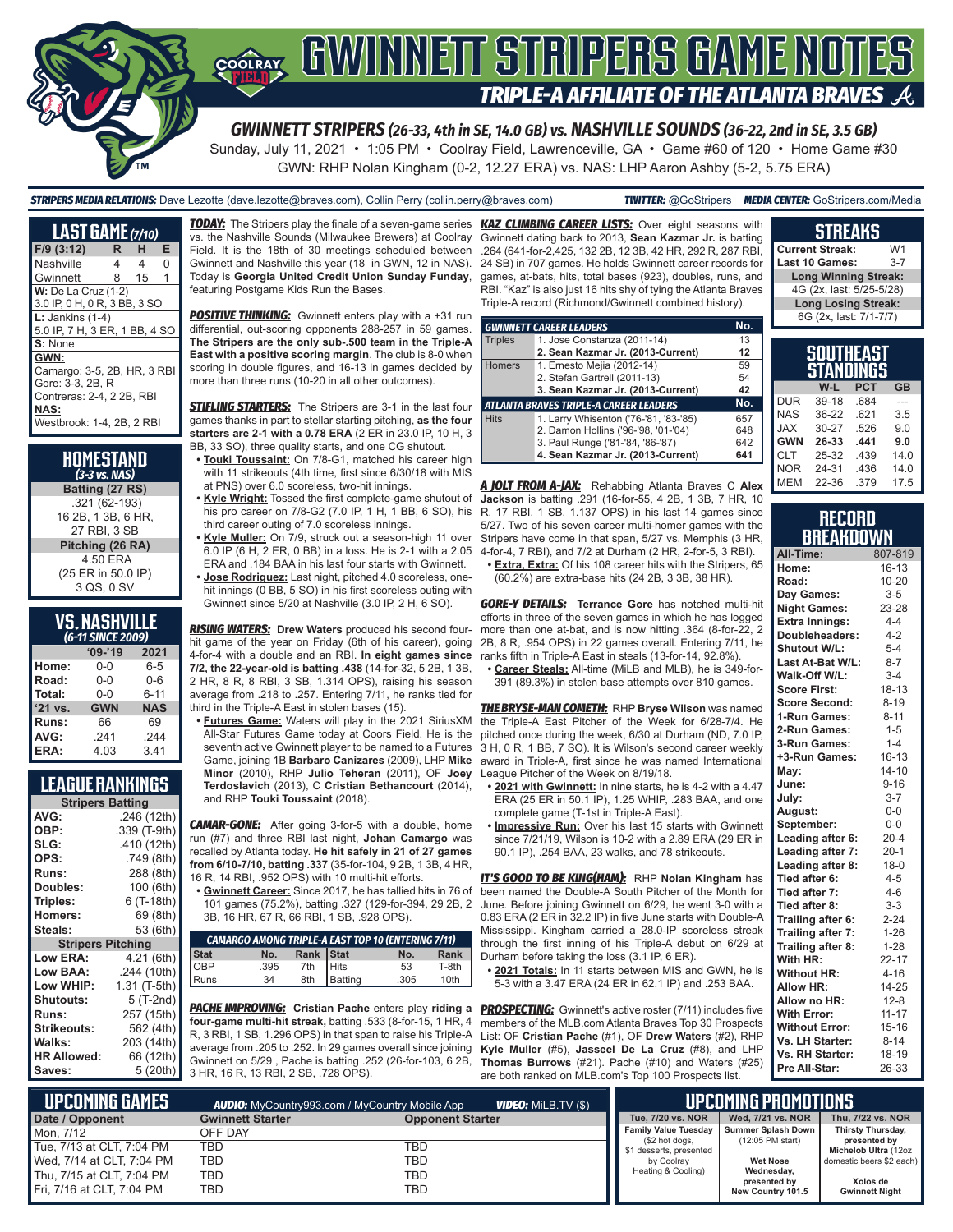

# COORAY GWINNEIT STRIPERS GAME NOTES TRIPLE-A AFFILIATE OF THE ATLANTA BRAVES  $\mathcal{A}$

*GWINNETT STRIPERS (26-33, 4th in SE, 14.0 GB) vs. NASHVILLE SOUNDS (36-22, 2nd in SE, 3.5 GB)*

Sunday, July 11, 2021 • 1:05 PM • Coolray Field, Lawrenceville, GA • Game #60 of 120 • Home Game #30 GWN: RHP Nolan Kingham (0-2, 12.27 ERA) vs. NAS: LHP Aaron Ashby (5-2, 5.75 ERA)

*STRIPERS MEDIA RELATIONS:* Dave Lezotte (dave.lezotte@braves.com), Collin Perry (collin.perry@braves.com) *TWITTER:* @GoStripers *MEDIA CENTER:* GoStripers.com/Media

| <b>LAST GAME</b> (7/10)                                                                                                   |   |    |   |
|---------------------------------------------------------------------------------------------------------------------------|---|----|---|
| $F/9$ (3:12)                                                                                                              | R | н  | Е |
| Nashville                                                                                                                 | 4 | 4  | O |
| Gwinnett                                                                                                                  | 8 | 15 | 1 |
| <b>W:</b> De La Cruz (1-2)<br>3.0 IP, 0 H, 0 R, 3 BB, 3 SO                                                                |   |    |   |
| $L:$ Jankins (1-4)<br>5.0 IP, 7 H, 3 ER, 1 BB, 4 SO                                                                       |   |    |   |
| S: None                                                                                                                   |   |    |   |
| GWN:<br>Camargo: 3-5, 2B, HR, 3 RBI<br>Gore: 3-3, 2B, R<br>Contreras: 2-4, 2 2B, RBI<br>NAS:<br>Westbrook: 1-4, 2B, 2 RBI |   |    |   |

#### **HOMESTAND**  *(3-3 vs. NAS)* **Batting (27 RS)** .321 (62-193) 16 2B, 1 3B, 6 HR, 27 RBI, 3 SB **Pitching (26 RA)** 4.50 ERA (25 ER in 50.0 IP) 3 QS, 0 SV

### **VS. NASHVILLE**

| (6-11 SINCE 2009) |            |            |  |  |  |  |  |  |
|-------------------|------------|------------|--|--|--|--|--|--|
|                   | $09 - 19$  | 2021       |  |  |  |  |  |  |
| Home:             | 0-0        | $6 - 5$    |  |  |  |  |  |  |
| Road:             | $0 - 0$    | $0 - 6$    |  |  |  |  |  |  |
| Total:            | $0 - 0$    | $6 - 11$   |  |  |  |  |  |  |
| '21 vs.           | <b>GWN</b> | <b>NAS</b> |  |  |  |  |  |  |
| Runs:             | 66         | 69         |  |  |  |  |  |  |
| AVG:              | .241       | .244       |  |  |  |  |  |  |
| ERA:              | 4.03       | 3.41       |  |  |  |  |  |  |

### **LEAGUE RANKINGS**

| <b>Stripers Batting</b>  |              |
|--------------------------|--------------|
| AVG:                     | .246 (12th)  |
| OBP:                     | .339 (T-9th) |
| SLG:                     | .410 (12th)  |
| OPS:                     | .749 (8th)   |
| <b>Runs:</b>             | 288 (8th)    |
| Doubles:                 | 100 (6th)    |
| Triples:                 | 6 (T-18th)   |
| <b>Homers:</b>           | 69 (8th)     |
| Steals:                  | 53 (6th)     |
| <b>Stripers Pitching</b> |              |
| <b>Low ERA:</b>          | 4.21 (6th)   |
| Low BAA:                 | .244 (10th)  |
| Low WHIP:                | 1.31 (T-5th) |
| Shutouts:                | 5 (T-2nd)    |
| <b>Runs:</b>             | 257 (15th)   |
| Strikeouts:              | 562 (4th)    |
| Walks:                   | 203 (14th)   |
| <b>HR Allowed:</b>       | 66 (12th)    |
| Saves:                   | 5 (20th)     |

vs. the Nashville Sounds (Milwaukee Brewers) at Coolray Field. It is the 18th of 30 meetings scheduled between Gwinnett and Nashville this year (18 in GWN, 12 in NAS). Today is **Georgia United Credit Union Sunday Funday**, featuring Postgame Kids Run the Bases.

**POSITIVE THINKING:** Gwinnett enters play with a +31 run differential, out-scoring opponents 288-257 in 59 games. **The Stripers are the only sub-.500 team in the Triple-A East with a positive scoring margin**. The club is 8-0 when scoring in double figures, and 16-13 in games decided by more than three runs (10-20 in all other outcomes).

**STIFLING STARTERS:** The Stripers are 3-1 in the last four games thanks in part to stellar starting pitching, **as the four starters are 2-1 with a 0.78 ERA** (2 ER in 23.0 IP, 10 H, 3 BB, 33 SO), three quality starts, and one CG shutout.

**• Touki Toussaint:** On 7/8-G1, matched his career high with 11 strikeouts (4th time, first since 6/30/18 with MIS at PNS) over 6.0 scoreless, two-hit innings.

his pro career on 7/8-G2 (7.0 IP, 1 H, 1 BB, 6 SO), his third career outing of 7.0 scoreless innings.

**• Kyle Muller:** On 7/9, struck out a season-high 11 over 6.0 IP (6 H, 2 ER, 0 BB) in a loss. He is 2-1 with a 2.05 ERA and .184 BAA in his last four starts with Gwinnett.

**• Jose Rodriguez:** Last night, pitched 4.0 scoreless, onehit innings (0 BB, 5 SO) in his first scoreless outing with Gwinnett since 5/20 at Nashville (3.0 IP, 2 H, 6 SO).

*RISING WATERS:* **Drew Waters** produced his second fourhit game of the year on Friday (6th of his career), going 4-for-4 with a double and an RBI. **In eight games since 7/2, the 22-year-old is batting .438** (14-for-32, 5 2B, 1 3B, 2 HR, 8 R, 8 RBI, 3 SB, 1.314 OPS), raising his season average from .218 to .257. Entering 7/11, he ranks tied for third in the Triple-A East in stolen bases (15).

**• Futures Game:** Waters will play in the 2021 SiriusXM All-Star Futures Game today at Coors Field. He is the seventh active Gwinnett player to be named to a Futures Game, joining 1B **Barbaro Canizares** (2009), LHP **Mike Minor** (2010), RHP **Julio Teheran** (2011), OF **Joey Terdoslavich** (2013), C **Cristian Bethancourt** (2014), and RHP **Touki Toussaint** (2018).

*CAMAR-GONE:* After going 3-for-5 with a double, home run (#7) and three RBI last night, **Johan Camargo** was recalled by Atlanta today. **He hit safely in 21 of 27 games from 6/10-7/10, batting .337** (35-for-104, 9 2B, 1 3B, 4 HR, 16 R, 14 RBI, .952 OPS) with 10 multi-hit efforts.

**• Gwinnett Career:** Since 2017, he has tallied hits in 76 of 101 games (75.2%), batting .327 (129-for-394, 29 2B, 2 3B, 16 HR, 67 R, 66 RBI, 1 SB, .928 OPS).

| <b>CAMARGO AMONG TRIPLE-A EAST TOP 10 (ENTERING 7/11)</b> |      |           |             |      |                  |  |  |  |
|-----------------------------------------------------------|------|-----------|-------------|------|------------------|--|--|--|
| Stat<br>OBP<br>Runs                                       | No.  | Rank Stat |             | No.  | Rank             |  |  |  |
|                                                           | .395 |           |             | 53   | T-8th            |  |  |  |
|                                                           | 34   |           | 8th Batting | .305 | 10 <sub>th</sub> |  |  |  |

*PACHE IMPROVING:* **Cristian Pache** enters play **riding a**  *PROSPECTING:* Gwinnett's active roster (7/11) includes five **four-game multi-hit streak,** batting .533 (8-for-15, 1 HR, 4 R, 3 RBI, 1 SB, 1.296 OPS) in that span to raise his Triple-A average from .205 to .252. In 29 games overall since joining Gwinnett on 5/29 , Pache is batting .252 (26-for-103, 6 2B, 3 HR, 16 R, 13 RBI, 2 SB, .728 OPS).

*TODAY:* The Stripers play the finale of a seven-game series *KAZ CLIMBING CAREER LISTS:* Over eight seasons with Gwinnett dating back to 2013, **Sean Kazmar Jr.** is batting .264 (641-for-2,425, 132 2B, 12 3B, 42 HR, 292 R, 287 RBI, 24 SB) in 707 games. He holds Gwinnett career records for games, at-bats, hits, total bases (923), doubles, runs, and RBI. "Kaz" is also just 16 hits shy of tying the Atlanta Braves Triple-A record (Richmond/Gwinnett combined history).

|                | <b>GWINNETT CAREER LEADERS</b>         | No. |
|----------------|----------------------------------------|-----|
| <b>Triples</b> | 1. Jose Constanza (2011-14)            | 13  |
|                | 2. Sean Kazmar Jr. (2013-Current)      | 12  |
| <b>Homers</b>  | 1. Ernesto Mejia (2012-14)             | 59  |
|                | 2. Stefan Gartrell (2011-13)           | 54  |
|                | 3. Sean Kazmar Jr. (2013-Current)      | 42  |
|                | ATLANTA BRAVES TRIPLE-A CAREER LEADERS | No. |
| <b>Hits</b>    | 1. Larry Whisenton ('76-'81, '83-'85)  | 657 |
|                | 2. Damon Hollins ('96-'98, '01-'04)    | 648 |
|                | 3. Paul Runge ('81-'84, '86-'87)       | 642 |
|                | 4. Sean Kazmar Jr. (2013-Current)      | 641 |

**• Kyle Wright:** Tossed the first complete-game shutout of **Jackson** is batting .291 (16-for-55, 4 2B, 1 3B, 7 HR, 10 MEM 22-36 .379 17.5 *A JOLT FROM A-JAX:* Rehabbing Atlanta Braves C **Alex**  R, 17 RBI, 1 SB, 1.137 OPS) in his last 14 games since 5/27. Two of his seven career multi-homer games with the Stripers have come in that span, 5/27 vs. Memphis (3 HR, 4-for-4, 7 RBI), and 7/2 at Durham (2 HR, 2-for-5, 3 RBI). **• Extra, Extra:** Of his 108 career hits with the Stripers, 65

(60.2%) are extra-base hits (24 2B, 3 3B, 38 HR).

*GORE-Y DETAILS:* **Terrance Gore** has notched multi-hit efforts in three of the seven games in which he has logged more than one at-bat, and is now hitting .364 (8-for-22, 2 2B, 8 R, .954 OPS) in 22 games overall. Entering 7/11, he ranks fifth in Triple-A East in steals (13-for-14, 92.8%).

**• Career Steals:** All-time (MiLB and MLB), he is 349-for-391 (89.3%) in stolen base attempts over 810 games.

*THE BRYSE-MAN COMETH:* RHP **Bryse Wilson** was named the Triple-A East Pitcher of the Week for 6/28-7/4. He pitched once during the week, 6/30 at Durham (ND, 7.0 IP, 3 H, 0 R, 1 BB, 7 SO). It is Wilson's second career weekly award in Triple-A, first since he was named International League Pitcher of the Week on 8/19/18.

- **• 2021 with Gwinnett:** In nine starts, he is 4-2 with a 4.47 ERA (25 ER in 50.1 IP), 1.25 WHIP, .283 BAA, and one complete game (T-1st in Triple-A East).
- **• Impressive Run:** Over his last 15 starts with Gwinnett since 7/21/19, Wilson is 10-2 with a 2.89 ERA (29 ER in 90.1 IP), .254 BAA, 23 walks, and 78 strikeouts.

*IT'S GOOD TO BE KING(HAM):* RHP **Nolan Kingham** has been named the Double-A South Pitcher of the Month for June. Before joining Gwinnett on 6/29, he went 3-0 with a 0.83 ERA (2 ER in 32.2 IP) in five June starts with Double-A Mississippi. Kingham carried a 28.0-IP scoreless streak through the first inning of his Triple-A debut on 6/29 at Durham before taking the loss (3.1 IP, 6 ER).

**• 2021 Totals:** In 11 starts between MIS and GWN, he is 5-3 with a 3.47 ERA (24 ER in 62.1 IP) and .253 BAA.

members of the MLB.com Atlanta Braves Top 30 Prospects List: OF **Cristian Pache** (#1), OF **Drew Waters** (#2), RHP **Kyle Muller** (#5), **Jasseel De La Cruz** (#8), and LHP **Thomas Burrows** (#21). Pache (#10) and Waters (#25) are both ranked on MLB.com's Top 100 Prospects list.

| Current Streak:             | W1      |
|-----------------------------|---------|
| Last 10 Games:              | $3 - 7$ |
| <b>Long Winning Streak:</b> |         |
| 4G (2x, last: 5/25-5/28)    |         |
| <b>Long Losing Streak:</b>  |         |
| 6G (2x. last: 7/1-7/7)      |         |

**STREAKS**

| <b>SOUTHEAST</b><br>STANDINGS |       |            |           |  |  |  |  |
|-------------------------------|-------|------------|-----------|--|--|--|--|
|                               | W-L   | <b>PCT</b> | <b>GB</b> |  |  |  |  |
| <b>DUR</b>                    | 39-18 | .684       |           |  |  |  |  |
| <b>NAS</b>                    | 36-22 | .621       | 3.5       |  |  |  |  |
| <b>JAX</b>                    | 30-27 | .526       | 9.0       |  |  |  |  |
| <b>GWN</b>                    | 26-33 | .441       | 9.0       |  |  |  |  |
| <b>CLT</b>                    | 25-32 | .439       | 14.0      |  |  |  |  |
| <b>NOR</b>                    | 24-31 | .436       | 14.0      |  |  |  |  |
|                               |       |            |           |  |  |  |  |

#### **RECORD BREAKDOWN**

| All-Time:             | 807-819   |
|-----------------------|-----------|
| Home:                 | $16 - 13$ |
| Road:                 | 10-20     |
| Day Games:            | $3 - 5$   |
| <b>Night Games:</b>   | 23-28     |
| <b>Extra Innings:</b> | $4 - 4$   |
| Doubleheaders:        | $4 - 2$   |
| <b>Shutout W/L:</b>   | $5 - 4$   |
| Last At-Bat W/L:      | $8 - 7$   |
| Walk-Off W/L:         | $3 - 4$   |
| <b>Score First:</b>   | $18 - 13$ |
| <b>Score Second:</b>  | $8 - 19$  |
| 1-Run Games:          | $8 - 11$  |
| 2-Run Games:          | $1 - 5$   |
| 3-Run Games:          | $1 - 4$   |
| +3-Run Games:         | $16 - 13$ |
| May:                  | $14 - 10$ |
| June:                 | $9 - 16$  |
| July:                 | $3 - 7$   |
| August:               | $0-0$     |
| September:            | $0-0$     |
| Leading after 6:      | $20 - 4$  |
| Leading after 7:      | $20-1$    |
| Leading after 8:      | $18 - 0$  |
| Tied after 6:         | $4 - 5$   |
| Tied after 7:         | $4 - 6$   |
| Tied after 8:         | $3 - 3$   |
| Trailing after 6:     | $2 - 24$  |
| Trailing after 7:     | $1 - 26$  |
| Trailing after 8:     | $1 - 28$  |
| With HR:              | $22 - 17$ |
| <b>Without HR:</b>    | $4 - 16$  |
| <b>Allow HR:</b>      | 14-25     |
| Allow no HR:          | $12 - 8$  |
| <b>With Error:</b>    | $11 - 17$ |
| <b>Without Error:</b> | $15 - 16$ |
| Vs. LH Starter:       | $8 - 14$  |
| Vs. RH Starter:       | 18-19     |
| Pre All-Star:         | 26-33     |

| NUPCOMING GAMES           |                         | <b>VIDEO:</b> Milb.TV $(\$)$<br><b>AUDIO:</b> MyCountry993.com / MyCountry Mobile App |                                               | UPCOMING PROMOTIONS <b>'</b>             |                                   |
|---------------------------|-------------------------|---------------------------------------------------------------------------------------|-----------------------------------------------|------------------------------------------|-----------------------------------|
| Date / Opponent           | <b>Gwinnett Starter</b> | <b>Opponent Starter</b>                                                               | Tue, 7/20 vs. NOR                             | Wed. 7/21 vs. NOR                        | Thu, 7/22 vs. NOR                 |
| Mon. 7/12                 | OFF DAY                 |                                                                                       | <b>Family Value Tuesday</b><br>(\$2 hot dogs, | Summer Splash Down<br>$(12:05$ PM start) | Thirsty Thursday,<br>presented by |
| Tue, 7/13 at CLT, 7:04 PM | TBD                     | TBD                                                                                   | \$1 desserts, presented                       |                                          | Michelob Ultra (12oz              |
| Wed, 7/14 at CLT, 7:04 PM | TBD                     | TBD                                                                                   | by Coolray                                    | <b>Wet Nose</b>                          | domestic beers \$2 each)          |
| Thu, 7/15 at CLT, 7:04 PM | TBD                     | TBD                                                                                   | Heating & Cooling)                            | Wednesday,                               |                                   |
| Fri, 7/16 at CLT, 7:04 PM | TBD                     | TBD                                                                                   |                                               | presented by<br>New Country 101.5        | Xolos de<br><b>Gwinnett Night</b> |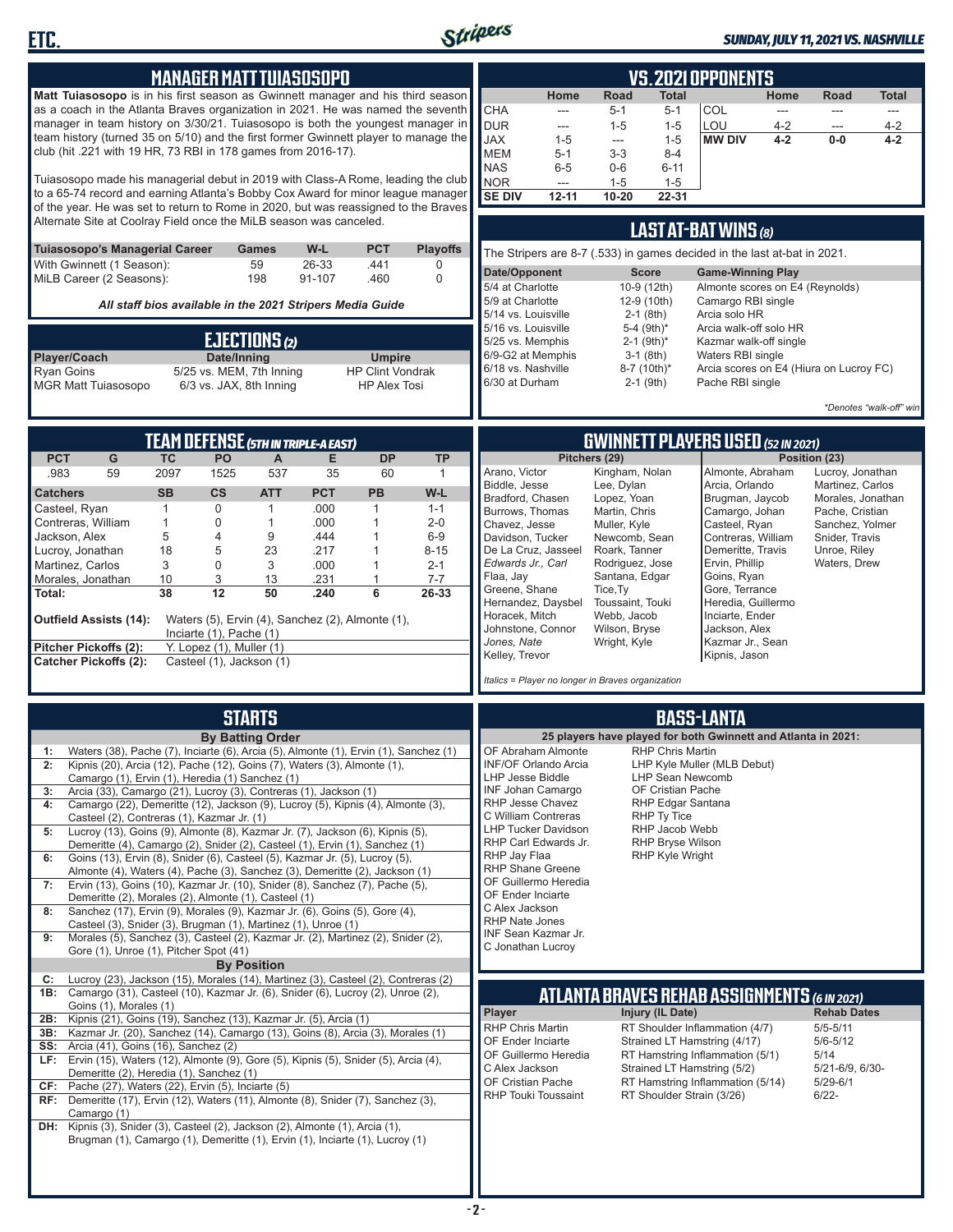

#### *SUNDAY, JULY 11, 2021 VS. NASHVILLE*

| <b>MANAGER MATT TUIASOSOPO</b>                                                                                                                                                                                                                                                                                                                                                                                                                                                                                                                                                                                           |                                                                                                                                                                                                                                                                                                                                                                                                                                                                                                                                                                                                 |                                                                    |                                                                          |                                                                                                    | <b>VS. 2021 OPPONENTS</b>                                                                     |                                                                                                                                                                                                                                                                                                                                                                                          |                                                                                                                                                                                                                                     |                                                                                                                                                                             |                                                                                                                                                                                                                                                                                       |                                   |                                                                                                                                                   |                                           |
|--------------------------------------------------------------------------------------------------------------------------------------------------------------------------------------------------------------------------------------------------------------------------------------------------------------------------------------------------------------------------------------------------------------------------------------------------------------------------------------------------------------------------------------------------------------------------------------------------------------------------|-------------------------------------------------------------------------------------------------------------------------------------------------------------------------------------------------------------------------------------------------------------------------------------------------------------------------------------------------------------------------------------------------------------------------------------------------------------------------------------------------------------------------------------------------------------------------------------------------|--------------------------------------------------------------------|--------------------------------------------------------------------------|----------------------------------------------------------------------------------------------------|-----------------------------------------------------------------------------------------------|------------------------------------------------------------------------------------------------------------------------------------------------------------------------------------------------------------------------------------------------------------------------------------------------------------------------------------------------------------------------------------------|-------------------------------------------------------------------------------------------------------------------------------------------------------------------------------------------------------------------------------------|-----------------------------------------------------------------------------------------------------------------------------------------------------------------------------|---------------------------------------------------------------------------------------------------------------------------------------------------------------------------------------------------------------------------------------------------------------------------------------|-----------------------------------|---------------------------------------------------------------------------------------------------------------------------------------------------|-------------------------------------------|
| Matt Tuiasosopo is in his first season as Gwinnett manager and his third season<br>as a coach in the Atlanta Braves organization in 2021. He was named the seventh<br>manager in team history on 3/30/21. Tuiasosopo is both the youngest manager in<br>team history (turned 35 on 5/10) and the first former Gwinnett player to manage the<br>club (hit .221 with 19 HR, 73 RBI in 178 games from 2016-17).<br>Tuiasosopo made his managerial debut in 2019 with Class-A Rome, leading the club                                                                                                                         |                                                                                                                                                                                                                                                                                                                                                                                                                                                                                                                                                                                                 |                                                                    |                                                                          |                                                                                                    |                                                                                               | Home<br><b>CHA</b><br>---<br><b>DUR</b><br>---<br><b>JAX</b><br>$1 - 5$<br><b>MEM</b><br>$5 - 1$<br><b>NAS</b><br>$6 - 5$<br><b>NOR</b><br>---                                                                                                                                                                                                                                           | Road<br>$5 - 1$<br>$1 - 5$<br>---<br>$3 - 3$<br>$0-6$<br>$1 - 5$                                                                                                                                                                    | Total<br>$5 - 1$<br>$1 - 5$<br>$1 - 5$<br>$8 - 4$<br>$6 - 11$<br>$1 - 5$                                                                                                    | COL<br>LOU<br><b>MW DIV</b>                                                                                                                                                                                                                                                           | Home<br>---<br>$4 - 2$<br>$4 - 2$ | <b>Road</b><br>$\cdots$<br>---<br>$0-0$                                                                                                           | <b>Total</b><br>---<br>$4 - 2$<br>$4 - 2$ |
| to a 65-74 record and earning Atlanta's Bobby Cox Award for minor league manager<br>of the year. He was set to return to Rome in 2020, but was reassigned to the Braves<br>Alternate Site at Coolray Field once the MiLB season was canceled.                                                                                                                                                                                                                                                                                                                                                                            |                                                                                                                                                                                                                                                                                                                                                                                                                                                                                                                                                                                                 |                                                                    |                                                                          |                                                                                                    |                                                                                               | <b>SE DIV</b><br>$12 - 11$                                                                                                                                                                                                                                                                                                                                                               | $10 - 20$                                                                                                                                                                                                                           | 22-31                                                                                                                                                                       | LAST AT-BAT WINS (8)                                                                                                                                                                                                                                                                  |                                   |                                                                                                                                                   |                                           |
| Tuiasosopo's Managerial Career<br>With Gwinnett (1 Season):                                                                                                                                                                                                                                                                                                                                                                                                                                                                                                                                                              |                                                                                                                                                                                                                                                                                                                                                                                                                                                                                                                                                                                                 | Games<br>59                                                        | W-L<br>26-33                                                             | <b>PCT</b><br>.441                                                                                 | <b>Playoffs</b><br>0                                                                          | The Stripers are 8-7 (.533) in games decided in the last at-bat in 2021.<br>Date/Opponent                                                                                                                                                                                                                                                                                                |                                                                                                                                                                                                                                     | <b>Score</b>                                                                                                                                                                | <b>Game-Winning Play</b>                                                                                                                                                                                                                                                              |                                   |                                                                                                                                                   |                                           |
| MiLB Career (2 Seasons):<br>198<br>91-107<br>.460<br>$\mathbf 0$<br>All staff bios available in the 2021 Stripers Media Guide                                                                                                                                                                                                                                                                                                                                                                                                                                                                                            |                                                                                                                                                                                                                                                                                                                                                                                                                                                                                                                                                                                                 |                                                                    |                                                                          |                                                                                                    | 5/4 at Charlotte<br>5/9 at Charlotte                                                          |                                                                                                                                                                                                                                                                                                                                                                                          | 10-9 (12th)<br>12-9 (10th)                                                                                                                                                                                                          | Almonte scores on E4 (Reynolds)<br>Camargo RBI single                                                                                                                       |                                                                                                                                                                                                                                                                                       |                                   |                                                                                                                                                   |                                           |
|                                                                                                                                                                                                                                                                                                                                                                                                                                                                                                                                                                                                                          |                                                                                                                                                                                                                                                                                                                                                                                                                                                                                                                                                                                                 | EJECTIONS(2)                                                       |                                                                          |                                                                                                    |                                                                                               | 5/14 vs. Louisville<br>5/16 vs. Louisville<br>5/25 vs. Memphis                                                                                                                                                                                                                                                                                                                           |                                                                                                                                                                                                                                     | $2-1$ (8th)<br>5-4 (9th)*<br>$2-1$ (9th) <sup>*</sup>                                                                                                                       | Arcia solo HR<br>Arcia walk-off solo HR<br>Kazmar walk-off single                                                                                                                                                                                                                     |                                   |                                                                                                                                                   |                                           |
| Player/Coach<br>Ryan Goins<br><b>MGR Matt Tuiasosopo</b>                                                                                                                                                                                                                                                                                                                                                                                                                                                                                                                                                                 | 5/25 vs. MEM, 7th Inning                                                                                                                                                                                                                                                                                                                                                                                                                                                                                                                                                                        | Date/Inning<br>6/3 vs. JAX, 8th Inning                             |                                                                          | <b>Umpire</b><br><b>HP Clint Vondrak</b><br><b>HP Alex Tosi</b>                                    |                                                                                               | 6/9-G2 at Memphis<br>6/18 vs. Nashville<br>6/30 at Durham                                                                                                                                                                                                                                                                                                                                |                                                                                                                                                                                                                                     | $3-1$ (8th)<br>8-7 (10th)*<br>$2-1$ (9th)                                                                                                                                   | Waters RBI single<br>Arcia scores on E4 (Hiura on Lucroy FC)<br>Pache RBI single                                                                                                                                                                                                      |                                   |                                                                                                                                                   |                                           |
|                                                                                                                                                                                                                                                                                                                                                                                                                                                                                                                                                                                                                          |                                                                                                                                                                                                                                                                                                                                                                                                                                                                                                                                                                                                 |                                                                    |                                                                          |                                                                                                    |                                                                                               |                                                                                                                                                                                                                                                                                                                                                                                          |                                                                                                                                                                                                                                     |                                                                                                                                                                             | <b>GWINNETT PLAYERS USED (52 IN 2021)</b>                                                                                                                                                                                                                                             |                                   |                                                                                                                                                   | *Denotes "walk-off" win                   |
| <b>PCT</b><br>G                                                                                                                                                                                                                                                                                                                                                                                                                                                                                                                                                                                                          | <b>TEAM DEFENSE (5TH IN TRIPLE-A EAST)</b><br><b>TC</b><br>PO                                                                                                                                                                                                                                                                                                                                                                                                                                                                                                                                   | A                                                                  | Е                                                                        | <b>DP</b>                                                                                          | <b>TP</b>                                                                                     |                                                                                                                                                                                                                                                                                                                                                                                          | Pitchers (29)                                                                                                                                                                                                                       |                                                                                                                                                                             |                                                                                                                                                                                                                                                                                       |                                   | Position (23)                                                                                                                                     |                                           |
| 59<br>.983<br><b>Catchers</b><br>Casteel, Ryan<br>Contreras, William<br>Jackson, Alex<br>Lucroy, Jonathan<br>Martinez, Carlos<br>Morales, Jonathan<br>Total:<br>Outfield Assists (14):<br>Pitcher Pickoffs (2):<br><b>Catcher Pickoffs (2):</b>                                                                                                                                                                                                                                                                                                                                                                          | 2097<br>1525<br><b>SB</b><br>$\mathsf{cs}$<br>$\mathbf{1}$<br>0<br>$\mathbf{1}$<br>0<br>5<br>4<br>18<br>5<br>3<br>0<br>3<br>10<br>12<br>38<br>Waters (5), Ervin (4), Sanchez (2), Almonte (1),<br>Inciarte $(1)$ , Pache $(1)$<br>Y. Lopez (1), Muller (1)<br>Casteel (1), Jackson (1)                                                                                                                                                                                                                                                                                                          | 537<br><b>ATT</b><br>$\mathbf{1}$<br>1<br>9<br>23<br>3<br>13<br>50 | 35<br><b>PCT</b><br>.000<br>.000<br>.444<br>.217<br>.000<br>.231<br>.240 | 60<br>PB<br>$\mathbf{1}$<br>$\mathbf{1}$<br>$\mathbf{1}$<br>1<br>$\mathbf{1}$<br>$\mathbf{1}$<br>6 | $\mathbf{1}$<br>W-L<br>$1 - 1$<br>$2 - 0$<br>$6-9$<br>$8 - 15$<br>$2 - 1$<br>$7 - 7$<br>26-33 | Arano, Victor<br>Biddle, Jesse<br>Bradford, Chasen<br>Burrows, Thomas<br>Chavez, Jesse<br>Davidson, Tucker<br>De La Cruz, Jasseel<br>Edwards Jr., Carl<br>Flaa, Jay<br>Greene, Shane<br>Hernandez, Daysbel<br>Horacek, Mitch<br>Johnstone, Connor<br>Jones, Nate<br>Kelley, Trevor<br>Italics = Player no longer in Braves organization                                                  | Kingham, Nolan<br>Lee, Dylan<br>Lopez, Yoan<br>Martin, Chris<br>Muller, Kyle<br>Newcomb, Sean<br>Roark, Tanner<br>Rodriguez, Jose<br>Santana, Edgar<br>Tice, Ty<br>Toussaint, Touki<br>Webb, Jacob<br>Wilson, Bryse<br>Wright, Kyle |                                                                                                                                                                             | Almonte, Abraham<br>Arcia, Orlando<br>Brugman, Jaycob<br>Camargo, Johan<br>Casteel, Ryan<br>Contreras, William<br>Demeritte, Travis<br>Ervin, Phillip<br>Goins, Ryan<br>Gore, Terrance<br>Heredia, Guillermo<br>Inciarte, Ender<br>Jackson, Alex<br>Kazmar Jr., Sean<br>Kipnis, Jason |                                   | Lucroy, Jonathan<br>Martinez, Carlos<br>Morales, Jonathan<br>Pache, Cristian<br>Sanchez, Yolmer<br>Snider, Travis<br>Unroe, Riley<br>Waters, Drew |                                           |
|                                                                                                                                                                                                                                                                                                                                                                                                                                                                                                                                                                                                                          |                                                                                                                                                                                                                                                                                                                                                                                                                                                                                                                                                                                                 | <b>STARTS</b><br><b>By Batting Order</b>                           |                                                                          |                                                                                                    |                                                                                               |                                                                                                                                                                                                                                                                                                                                                                                          |                                                                                                                                                                                                                                     |                                                                                                                                                                             | <b>BASS-LANTA</b><br>25 players have played for both Gwinnett and Atlanta in 2021:                                                                                                                                                                                                    |                                   |                                                                                                                                                   |                                           |
| Waters (38), Pache (7), Inciarte (6), Arcia (5), Almonte (1), Ervin (1), Sanchez (1)<br>1:<br>Kipnis (20), Arcia (12), Pache (12), Goins (7), Waters (3), Almonte (1),<br>Arcia (33), Camargo (21), Lucroy (3), Contreras (1), Jackson (1)<br>3:<br>4:<br>Lucroy (13), Goins (9), Almonte (8), Kazmar Jr. (7), Jackson (6), Kipnis (5),<br>5:<br>Goins (13), Ervin (8), Snider (6), Casteel (5), Kazmar Jr. (5), Lucroy (5),<br>6:<br>Ervin (13), Goins (10), Kazmar Jr. (10), Snider (8), Sanchez (7), Pache (5),<br>7:<br>8:<br>Morales (5), Sanchez (3), Casteel (2), Kazmar Jr. (2), Martinez (2), Snider (2),<br>9: | Camargo (1), Ervin (1), Heredia (1) Sanchez (1)<br>Camargo (22), Demeritte (12), Jackson (9), Lucroy (5), Kipnis (4), Almonte (3),<br>Casteel (2), Contreras (1), Kazmar Jr. (1)<br>Demeritte (4), Camargo (2), Snider (2), Casteel (1), Ervin (1), Sanchez (1)<br>Almonte (4), Waters (4), Pache (3), Sanchez (3), Demeritte (2), Jackson (1)<br>Demeritte (2), Morales (2), Almonte (1), Casteel (1)<br>Sanchez (17), Ervin (9), Morales (9), Kazmar Jr. (6), Goins (5), Gore (4),<br>Casteel (3), Snider (3), Brugman (1), Martinez (1), Unroe (1)<br>Gore (1), Unroe (1), Pitcher Spot (41) | <b>By Position</b>                                                 |                                                                          |                                                                                                    |                                                                                               | OF Abraham Almonte<br><b>INF/OF Orlando Arcia</b><br><b>LHP Jesse Biddle</b><br>INF Johan Camargo<br>RHP Jesse Chavez<br>C William Contreras<br><b>LHP Tucker Davidson</b><br>RHP Carl Edwards Jr.<br>RHP Jay Flaa<br><b>RHP Shane Greene</b><br>OF Guillermo Heredia<br>OF Ender Inciarte<br>C Alex Jackson<br><b>RHP Nate Jones</b><br><b>INF Sean Kazmar Jr.</b><br>C Jonathan Lucroy |                                                                                                                                                                                                                                     | <b>RHP Chris Martin</b><br><b>LHP Sean Newcomb</b><br>OF Cristian Pache<br>RHP Edgar Santana<br>RHP Ty Tice<br>RHP Jacob Webb<br>RHP Bryse Wilson<br><b>RHP Kyle Wright</b> | LHP Kyle Muller (MLB Debut)                                                                                                                                                                                                                                                           |                                   |                                                                                                                                                   |                                           |
| Lucroy (23), Jackson (15), Morales (14), Martinez (3), Casteel (2), Contreras (2)<br>C:<br>Camargo (31), Casteel (10), Kazmar Jr. (6), Snider (6), Lucroy (2), Unroe (2),<br>1B:<br>Goins (1), Morales (1)                                                                                                                                                                                                                                                                                                                                                                                                               |                                                                                                                                                                                                                                                                                                                                                                                                                                                                                                                                                                                                 |                                                                    |                                                                          |                                                                                                    |                                                                                               |                                                                                                                                                                                                                                                                                                                                                                                          |                                                                                                                                                                                                                                     |                                                                                                                                                                             | ATLANTA BRAVES REHAB ASSIGNMENTS (6 IN 2021)                                                                                                                                                                                                                                          |                                   |                                                                                                                                                   |                                           |
| Kipnis (21), Goins (19), Sanchez (13), Kazmar Jr. (5), Arcia (1)<br>2B:<br>Kazmar Jr. (20), Sanchez (14), Camargo (13), Goins (8), Arcia (3), Morales (1)<br>3B:<br>Arcia (41), Goins (16), Sanchez (2)<br>SS:<br>Ervin (15), Waters (12), Almonte (9), Gore (5), Kipnis (5), Snider (5), Arcia (4),<br>LF:<br>CF:<br>Pache (27), Waters (22), Ervin (5), Inciarte (5)                                                                                                                                                                                                                                                   | Demeritte (2), Heredia (1), Sanchez (1)                                                                                                                                                                                                                                                                                                                                                                                                                                                                                                                                                         |                                                                    |                                                                          |                                                                                                    |                                                                                               | Player<br>RHP Chris Martin<br>OF Ender Inciarte<br>OF Guillermo Heredia<br>C Alex Jackson<br>OF Cristian Pache                                                                                                                                                                                                                                                                           |                                                                                                                                                                                                                                     | Injury (IL Date)                                                                                                                                                            | RT Shoulder Inflammation (4/7)<br>Strained LT Hamstring (4/17)<br>RT Hamstring Inflammation (5/1)<br>Strained LT Hamstring (5/2)<br>RT Hamstring Inflammation (5/14)                                                                                                                  |                                   | <b>Rehab Dates</b><br>$5/5 - 5/11$<br>$5/6 - 5/12$<br>5/14<br>5/21-6/9, 6/30-<br>$5/29 - 6/1$                                                     |                                           |
| RF: Demeritte (17), Ervin (12), Waters (11), Almonte (8), Snider (7), Sanchez (3),<br>Camargo (1)<br>DH: Kipnis (3), Snider (3), Casteel (2), Jackson (2), Almonte (1), Arcia (1),                                                                                                                                                                                                                                                                                                                                                                                                                                       | Brugman (1), Camargo (1), Demeritte (1), Ervin (1), Inciarte (1), Lucroy (1)                                                                                                                                                                                                                                                                                                                                                                                                                                                                                                                    |                                                                    |                                                                          |                                                                                                    |                                                                                               | <b>RHP Touki Toussaint</b>                                                                                                                                                                                                                                                                                                                                                               |                                                                                                                                                                                                                                     |                                                                                                                                                                             | RT Shoulder Strain (3/26)                                                                                                                                                                                                                                                             |                                   | $6/22 -$                                                                                                                                          |                                           |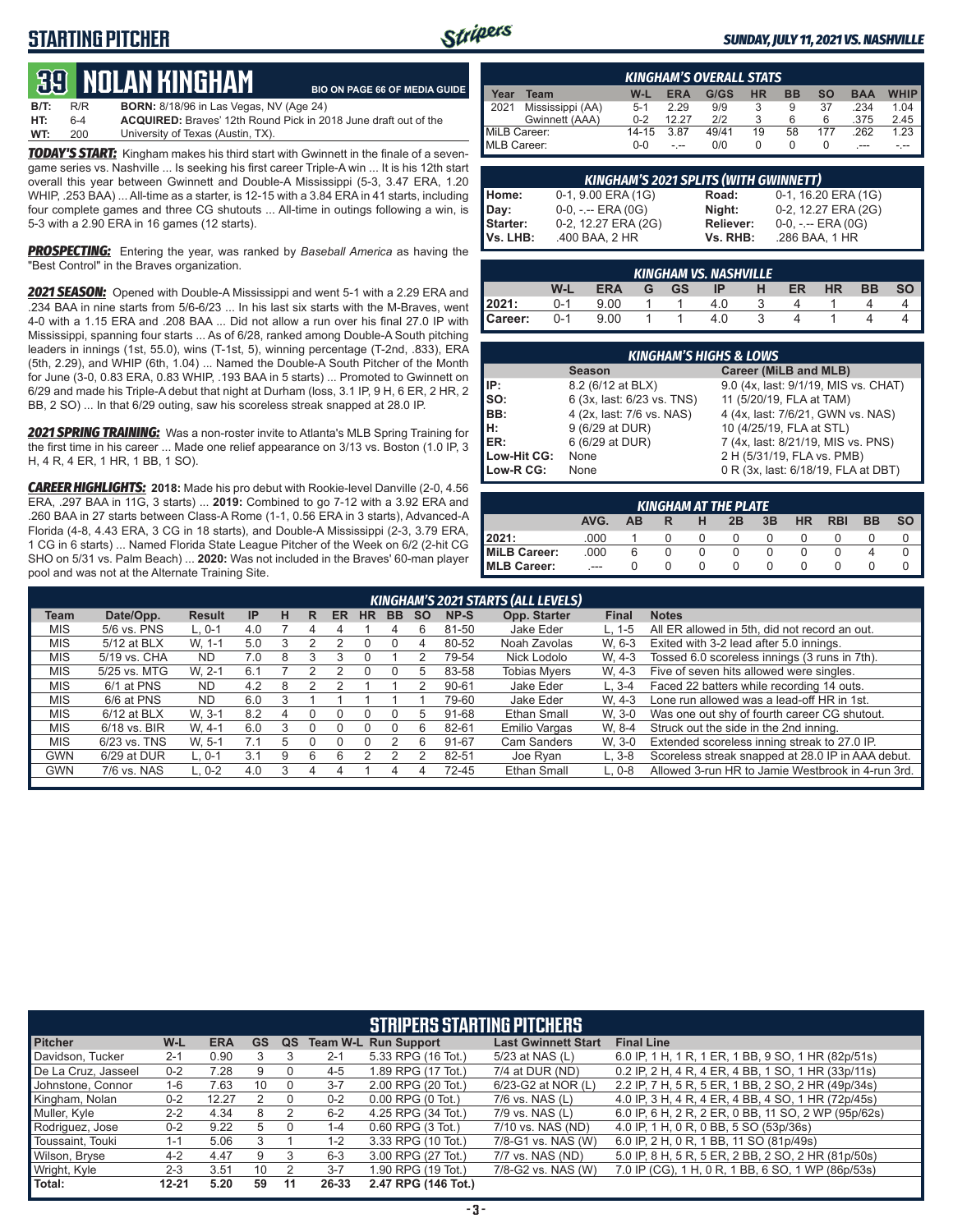### **STARTING PITCHER**



#### *SUNDAY, JULY 11, 2021 VS. NASHVILLE*

# **39****NOLAN KINGHam**

**B/T:** R/R **BORN:** 8/18/96 in Las Vegas, NV (Age 24) **HT:** 6-4 **ACQUIRED:** Braves' 12th Round Pick in 2018 June draft out of the University of Texas (Austin, TX). **BIO ON PAGE 66 OF MEDIA GUIDE**

*TODAY'S START:* Kingham makes his third start with Gwinnett in the finale of a sevengame series vs. Nashville ... Is seeking his first career Triple-A win ... It is his 12th start overall this year between Gwinnett and Double-A Mississippi (5-3, 3.47 ERA, 1.20 WHIP, .253 BAA) ... All-time as a starter, is 12-15 with a 3.84 ERA in 41 starts, including four complete games and three CG shutouts ... All-time in outings following a win, is 5-3 with a 2.90 ERA in 16 games (12 starts).

**PROSPECTING:** Entering the year, was ranked by *Baseball America* as having the "Best Control" in the Braves organization.

*2021 SEASON:* Opened with Double-A Mississippi and went 5-1 with a 2.29 ERA and .234 BAA in nine starts from 5/6-6/23 ... In his last six starts with the M-Braves, went 4-0 with a 1.15 ERA and .208 BAA ... Did not allow a run over his final 27.0 IP with Mississippi, spanning four starts ... As of 6/28, ranked among Double-A South pitching leaders in innings (1st, 55.0), wins (T-1st, 5), winning percentage (T-2nd, .833), ERA (5th, 2.29), and WHIP (6th, 1.04) ... Named the Double-A South Pitcher of the Month for June (3-0, 0.83 ERA, 0.83 WHIP, .193 BAA in 5 starts) ... Promoted to Gwinnett on 6/29 and made his Triple-A debut that night at Durham (loss, 3.1 IP, 9 H, 6 ER, 2 HR, 2 BB, 2 SO) ... In that 6/29 outing, saw his scoreless streak snapped at 28.0 IP.

*2021 SPRING TRAINING:* Was a non-roster invite to Atlanta's MLB Spring Training for the first time in his career ... Made one relief appearance on 3/13 vs. Boston (1.0 IP, 3 H, 4 R, 4 ER, 1 HR, 1 BB, 1 SO).

*CAREER HIGHLIGHTS:* **2018:** Made his pro debut with Rookie-level Danville (2-0, 4.56 ERA, .297 BAA in 11G, 3 starts) ... **2019:** Combined to go 7-12 with a 3.92 ERA and .260 BAA in 27 starts between Class-A Rome (1-1, 0.56 ERA in 3 starts), Advanced-A Florida (4-8, 4.43 ERA, 3 CG in 18 starts), and Double-A Mississippi (2-3, 3.79 ERA, 1 CG in 6 starts) ... Named Florida State League Pitcher of the Week on 6/2 (2-hit CG SHO on 5/31 vs. Palm Beach) ... **2020:** Was not included in the Braves' 60-man player pool and was not at the Alternate Training Site.

| <b>KINGHAM'S OVERALL STATS</b> |                  |         |            |       |           |           |     |            |             |
|--------------------------------|------------------|---------|------------|-------|-----------|-----------|-----|------------|-------------|
| Year                           | Team             | $W-L$   | <b>ERA</b> | G/GS  | <b>HR</b> | <b>BB</b> | SΟ  | <b>BAA</b> | <b>WHIP</b> |
| 12021                          | Mississippi (AA) | $5-1$   | 2.29       | 9/9   |           | 9         | 37  | .234       | 1.04        |
|                                | Gwinnett (AAA)   | $0 - 2$ | 12 27      | 212   |           | 6         | 6   | .375       | 2.45        |
| MiLB Career:                   |                  | 14-15   | 3.87       | 49/41 | 19        | 58        | 177 | .262       | 1.23        |
| MLB Career:                    |                  | $0 - 0$ |            | 0/0   |           |           | O   |            |             |

| KINGHAM'S 2021 SPLITS (WITH GWINNETT) |                       |                  |                       |  |  |  |  |
|---------------------------------------|-----------------------|------------------|-----------------------|--|--|--|--|
| Home:                                 | 0-1, 9.00 ERA (1G)    | Road:            | 0-1, 16.20 ERA (1G)   |  |  |  |  |
| Day:                                  | $0-0, - -$ ERA $(0G)$ | Night:           | 0-2, 12.27 ERA (2G)   |  |  |  |  |
| Starter:                              | 0-2, 12.27 ERA (2G)   | <b>Reliever:</b> | $0-0, - -$ ERA $(0G)$ |  |  |  |  |
| Vs. LHB:                              | .400 BAA, 2 HR        | Vs. RHB:         | .286 BAA, 1 HR        |  |  |  |  |

|         | KINGHAM VS. NASHVILLE |            |   |           |     |   |    |    |           |           |  |  |  |
|---------|-----------------------|------------|---|-----------|-----|---|----|----|-----------|-----------|--|--|--|
|         | W-L                   | <b>ERA</b> | G | <b>GS</b> | IP  | н | ER | HR | <b>BB</b> | <b>SO</b> |  |  |  |
| 2021:   | $0 - 1$               | 9.00       |   |           | 4.0 |   |    |    |           |           |  |  |  |
| Career: | 0-1                   | 9.00       |   |           | 40  | વ |    |    |           |           |  |  |  |

| <b>KINGHAM'S HIGHS &amp; LOWS</b> |                                        |                                      |  |  |  |  |  |  |  |  |
|-----------------------------------|----------------------------------------|--------------------------------------|--|--|--|--|--|--|--|--|
|                                   | Career (MiLB and MLB)<br><b>Season</b> |                                      |  |  |  |  |  |  |  |  |
| IP:                               | 8.2 (6/12 at BLX)                      | 9.0 (4x, last: 9/1/19, MIS vs. CHAT) |  |  |  |  |  |  |  |  |
| Iso:                              | 6 (3x, last: 6/23 vs. TNS)             | 11 (5/20/19, FLA at TAM)             |  |  |  |  |  |  |  |  |
| IBB:                              | 4 (2x, last: 7/6 vs. NAS)              | 4 (4x, last: 7/6/21, GWN vs. NAS)    |  |  |  |  |  |  |  |  |
| Iн:                               | 9 (6/29 at DUR)                        | 10 (4/25/19, FLA at STL)             |  |  |  |  |  |  |  |  |
| ER:                               | 6 (6/29 at DUR)                        | 7 (4x, last: 8/21/19, MIS vs. PNS)   |  |  |  |  |  |  |  |  |
| Low-Hit CG:                       | None                                   | 2 H (5/31/19, FLA vs. PMB)           |  |  |  |  |  |  |  |  |
| Low-R CG:                         | None                                   | 0 R (3x, last: 6/18/19, FLA at DBT)  |  |  |  |  |  |  |  |  |

|                                                                                       | <b>KINGHAM AT THE PLATE</b> |   |              |        |  |  |  |        |  |  |  |  |  |
|---------------------------------------------------------------------------------------|-----------------------------|---|--------------|--------|--|--|--|--------|--|--|--|--|--|
| 3B<br>AVG.<br><b>BB</b><br><b>SO</b><br><b>HR</b><br><b>RBI</b><br>2B<br>AB<br>н<br>R |                             |   |              |        |  |  |  |        |  |  |  |  |  |
| 2021:                                                                                 | .000                        |   |              |        |  |  |  |        |  |  |  |  |  |
| MiLB Career:                                                                          | .000                        | 6 | 0            | $\cup$ |  |  |  | $\cup$ |  |  |  |  |  |
| <b>MLB Career:</b>                                                                    | $- - -$                     |   | $\mathbf{O}$ |        |  |  |  | $\cup$ |  |  |  |  |  |

|            | KINGHAM'S 2021 STARTS (ALL LEVELS) |               |           |   |                  |    |    |           |           |           |                     |              |                                                   |
|------------|------------------------------------|---------------|-----------|---|------------------|----|----|-----------|-----------|-----------|---------------------|--------------|---------------------------------------------------|
| Team       | Date/Opp.                          | <b>Result</b> | <b>IP</b> | н | R                | ER | HR | <b>BB</b> | <b>SO</b> | NP-S      | Opp. Starter        | <b>Final</b> | <b>Notes</b>                                      |
| <b>MIS</b> | 5/6 vs. PNS                        | $L.0-1$       | 4.0       |   | 4                | 4  |    |           |           | 81-50     | Jake Eder           | $L. 1-5$     | All ER allowed in 5th, did not record an out.     |
| <b>MIS</b> | 5/12 at BLX                        | W. 1-1        | 5.0       |   |                  |    |    |           |           | 80-52     | Noah Zavolas        | W. 6-3       | Exited with 3-2 lead after 5.0 innings.           |
| <b>MIS</b> | 5/19 vs. CHA                       | <b>ND</b>     | 7.0       | 8 |                  |    |    |           |           | 79-54     | Nick Lodolo         | W. 4-3       | Tossed 6.0 scoreless innings (3 runs in 7th).     |
| <b>MIS</b> | 5/25 vs. MTG                       | W. 2-1        | 6.1       |   |                  |    |    |           | h.        | 83-58     | <b>Tobias Mvers</b> | W. 4-3       | Five of seven hits allowed were singles.          |
| <b>MIS</b> | 6/1 at PNS                         | <b>ND</b>     | 4.2       | 8 |                  |    |    |           |           | $90 - 61$ | Jake Eder           | $L.3 - 4$    | Faced 22 batters while recording 14 outs.         |
| MIS.       | 6/6 at PNS                         | <b>ND</b>     | 6.0       |   |                  |    |    |           |           | 79-60     | Jake Eder           | W. 4-3       | Lone run allowed was a lead-off HR in 1st.        |
| <b>MIS</b> | $6/12$ at BLX                      | W. 3-1        | 8.2       | 4 | $\left( \right)$ |    |    |           | 5         | 91-68     | Ethan Small         | W. 3-0       | Was one out shy of fourth career CG shutout.      |
| <b>MIS</b> | $6/18$ vs. BIR                     | W. 4-1        | 6.0       | 3 |                  |    |    |           | 6         | 82-61     | Emilio Vargas       | W. 8-4       | Struck out the side in the 2nd inning.            |
| <b>MIS</b> | 6/23 vs. TNS                       | W. 5-1        | 7.1       | 5 |                  | O  |    |           | 6         | 91-67     | Cam Sanders         | W. 3-0       | Extended scoreless inning streak to 27.0 IP.      |
| <b>GWN</b> | 6/29 at DUR                        | $L.0-1$       | 3.1       | 9 | 6                | 6  |    |           |           | 82-51     | Joe Rvan            | $L.3-8$      | Scoreless streak snapped at 28.0 IP in AAA debut. |
| <b>GWN</b> | 7/6 vs. NAS                        | $L.0-2$       | 4.0       |   | 4                | 4  |    |           |           | 72-45     | <b>Ethan Small</b>  | $L.0-8$      | Allowed 3-run HR to Jamie Westbrook in 4-run 3rd. |
|            |                                    |               |           |   |                  |    |    |           |           |           |                     |              |                                                   |

| <b>STRIPERS STARTING PITCHERS</b> |           |            |    |    |         |                             |                            |                                                     |  |  |  |
|-----------------------------------|-----------|------------|----|----|---------|-----------------------------|----------------------------|-----------------------------------------------------|--|--|--|
| <b>Pitcher</b>                    | W-L       | <b>ERA</b> | GS | QS |         | <b>Team W-L Run Support</b> | <b>Last Gwinnett Start</b> | <b>Final Line</b>                                   |  |  |  |
| Davidson, Tucker                  | $2 - 1$   | 0.90       |    |    | $2 - 1$ | 5.33 RPG (16 Tot.)          | 5/23 at NAS (L)            | 6.0 IP, 1 H, 1 R, 1 ER, 1 BB, 9 SO, 1 HR (82p/51s)  |  |  |  |
| De La Cruz, Jasseel               | $0 - 2$   | 7.28       | 9  |    | $4 - 5$ | 1.89 RPG (17 Tot.)          | 7/4 at DUR (ND)            | 0.2 IP, 2 H, 4 R, 4 ER, 4 BB, 1 SO, 1 HR (33p/11s)  |  |  |  |
| Johnstone, Connor                 | 1-6       | 7.63       | 10 |    | $3 - 7$ | 2.00 RPG (20 Tot.)          | 6/23-G2 at NOR (L)         | 2.2 IP, 7 H, 5 R, 5 ER, 1 BB, 2 SO, 2 HR (49p/34s)  |  |  |  |
| Kingham, Nolan                    | $0 - 2$   | 12.27      |    |    | $0 - 2$ | $0.00$ RPG $(0$ Tot.)       | 7/6 vs. NAS (L)            | 4.0 IP, 3 H, 4 R, 4 ER, 4 BB, 4 SO, 1 HR (72p/45s)  |  |  |  |
| Muller, Kyle                      | $2 - 2$   | 4.34       |    |    | $6 - 2$ | 4.25 RPG (34 Tot.)          | 7/9 vs. NAS (L)            | 6.0 IP, 6 H, 2 R, 2 ER, 0 BB, 11 SO, 2 WP (95p/62s) |  |  |  |
| Rodriguez, Jose                   | $0 - 2$   | 9.22       |    |    | $1 - 4$ | $0.60$ RPG $(3$ Tot.)       | 7/10 vs. NAS (ND)          | 4.0 IP, 1 H, 0 R, 0 BB, 5 SO (53p/36s)              |  |  |  |
| Toussaint, Touki                  | 1-1       | 5.06       |    |    | $1 - 2$ | 3.33 RPG (10 Tot.)          | 7/8-G1 vs. NAS (W)         | 6.0 IP, 2 H, 0 R, 1 BB, 11 SO (81p/49s)             |  |  |  |
| Wilson, Bryse                     | $4 - 2$   | 4.47       | 9  |    | $6 - 3$ | 3.00 RPG (27 Tot.)          | 7/7 vs. NAS (ND)           | 5.0 IP, 8 H, 5 R, 5 ER, 2 BB, 2 SO, 2 HR (81p/50s)  |  |  |  |
| Wright, Kyle                      | $2 - 3$   | 3.51       | 10 |    | $3 - 7$ | 1.90 RPG (19 Tot.)          | 7/8-G2 vs. NAS (W)         | 7.0 IP (CG), 1 H, 0 R, 1 BB, 6 SO, 1 WP (86p/53s)   |  |  |  |
| Total:                            | $12 - 21$ | 5.20       | 59 | 11 | 26-33   | 2.47 RPG (146 Tot.)         |                            |                                                     |  |  |  |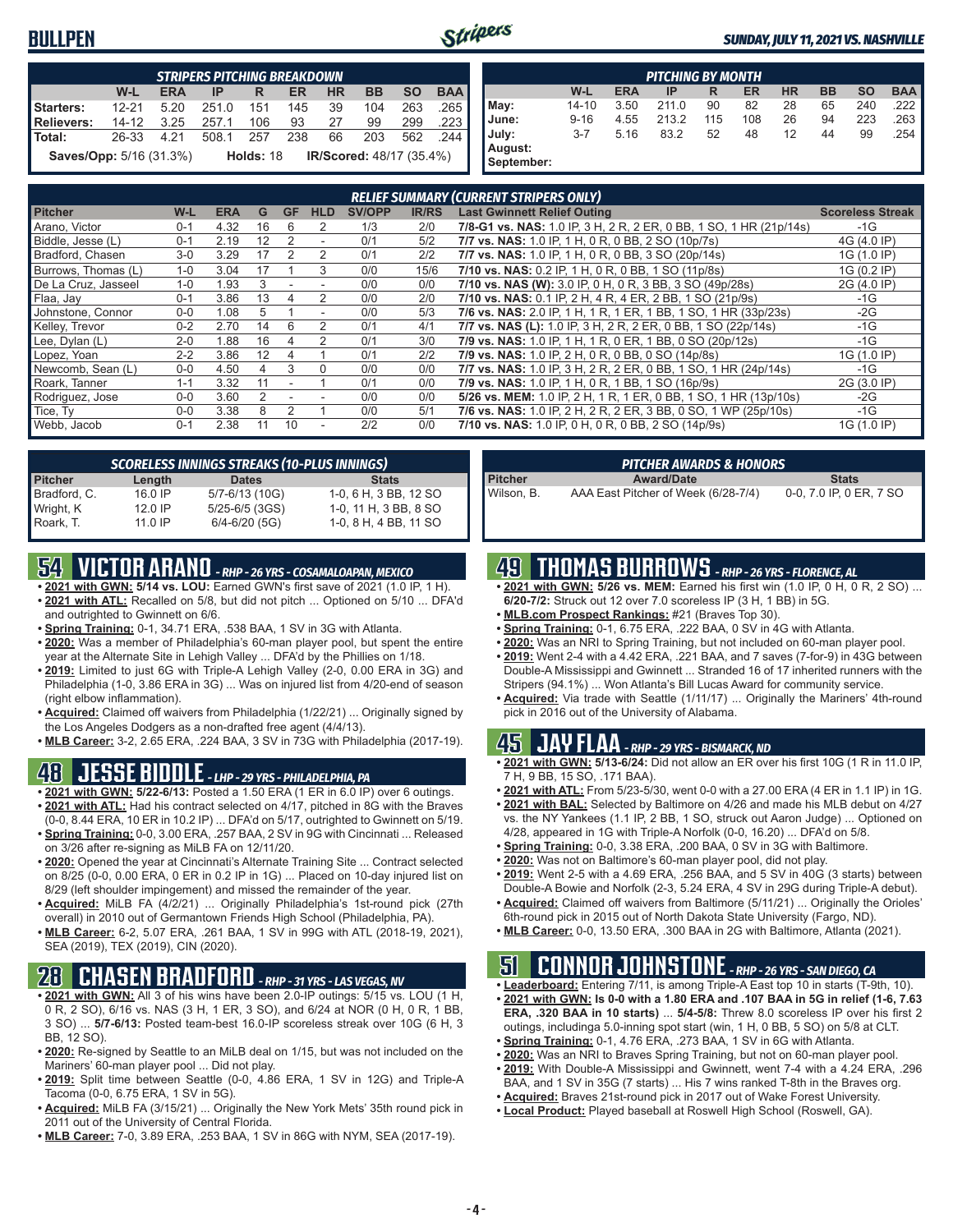### **BULLPEN**



#### *SUNDAY, JULY 11, 2021 VS. NASHVILLE*

|                                | <b>STRIPERS PITCHING BREAKDOWN</b> |            |       |           |           |           |                                 |           |            |  |  |  |
|--------------------------------|------------------------------------|------------|-------|-----------|-----------|-----------|---------------------------------|-----------|------------|--|--|--|
|                                | $W-L$                              | <b>ERA</b> | IP    | R         | <b>ER</b> | <b>HR</b> | <b>BB</b>                       | <b>SO</b> | <b>BAA</b> |  |  |  |
| Starters:                      | $12 - 21$                          | 5.20       | 251.0 | 151       | 145       | 39        | 104                             | 263       | .265       |  |  |  |
| <b>Relievers:</b>              | 14-12                              | 3.25       | 257.1 | 106       | 93        | 27        | 99                              | 299       | .223       |  |  |  |
| l Total:                       | 26-33                              | 4 2 1      | 508.1 | 257       | 238       | 66        | 203                             | 562       | -244       |  |  |  |
| <b>Saves/Opp:</b> 5/16 (31.3%) |                                    |            |       | Holds: 18 |           |           | <b>IR/Scored: 48/17 (35.4%)</b> |           |            |  |  |  |

|            | <b>PITCHING BY MONTH</b> |            |       |     |     |           |           |           |            |  |  |  |  |  |
|------------|--------------------------|------------|-------|-----|-----|-----------|-----------|-----------|------------|--|--|--|--|--|
|            | W-L                      | <b>ERA</b> | IP    | R   | ER  | <b>HR</b> | <b>BB</b> | <b>SO</b> | <b>BAA</b> |  |  |  |  |  |
| May:       | 14-10                    | 3.50       | 211.0 | 90  | 82  | 28        | 65        | 240       | .222       |  |  |  |  |  |
| June:      | $9 - 16$                 | 4.55       | 213.2 | 115 | 108 | 26        | 94        | 223       | 263        |  |  |  |  |  |
| July:      | $3 - 7$                  | 5.16       | 83.2  | 52  | 48  | 12        | 44        | 99        | 254        |  |  |  |  |  |
| August:    |                          |            |       |     |     |           |           |           |            |  |  |  |  |  |
| September: |                          |            |       |     |     |           |           |           |            |  |  |  |  |  |

| <b>RELIEF SUMMARY (CURRENT STRIPERS ONLY)</b> |         |            |    |           |            |               |              |                                                                    |                         |  |  |
|-----------------------------------------------|---------|------------|----|-----------|------------|---------------|--------------|--------------------------------------------------------------------|-------------------------|--|--|
| <b>Pitcher</b>                                | W-L     | <b>ERA</b> | G  | <b>GF</b> | <b>HLD</b> | <b>SV/OPP</b> | <b>IR/RS</b> | <b>Last Gwinnett Relief Outing</b>                                 | <b>Scoreless Streak</b> |  |  |
| Arano, Victor                                 | $0 - 1$ | 4.32       | 16 | 6         | 2          | 1/3           | 2/0          | 7/8-G1 vs. NAS: 1.0 IP, 3 H, 2 R, 2 ER, 0 BB, 1 SO, 1 HR (21p/14s) | $-1G$                   |  |  |
| Biddle, Jesse (L)                             | $0 - 1$ | 2.19       | 12 |           | ٠          | 0/1           | 5/2          | 7/7 vs. NAS: 1.0 IP, 1 H, 0 R, 0 BB, 2 SO (10p/7s)                 | 4G (4.0 IP)             |  |  |
| Bradford, Chasen                              | $3-0$   | 3.29       | 17 |           | 2          | 0/1           | 2/2          | 7/7 vs. NAS: 1.0 IP, 1 H, 0 R, 0 BB, 3 SO (20p/14s)                | 1G (1.0 IP)             |  |  |
| Burrows, Thomas (L)                           | $1 - 0$ | 3.04       | 17 |           | 3          | 0/0           | 15/6         | 7/10 vs. NAS: 0.2 IP, 1 H, 0 R, 0 BB, 1 SO (11p/8s)                | 1G (0.2 IP)             |  |  |
| De La Cruz, Jasseel                           | $1 - 0$ | 1.93       | 3  |           |            | 0/0           | 0/0          | 7/10 vs. NAS (W): 3.0 IP, 0 H, 0 R, 3 BB, 3 SO (49p/28s)           | 2G (4.0 IP)             |  |  |
| Flaa, Jay                                     | $0 - 1$ | 3.86       | 13 |           |            | 0/0           | 2/0          | 7/10 vs. NAS: 0.1 IP, 2 H, 4 R, 4 ER, 2 BB, 1 SO (21p/9s)          | $-1G$                   |  |  |
| Johnstone, Connor                             | $0 - 0$ | 1.08       | 5  |           |            | 0/0           | 5/3          | 7/6 vs. NAS: 2.0 IP, 1 H, 1 R, 1 ER, 1 BB, 1 SO, 1 HR (33p/23s)    | $-2G$                   |  |  |
| Kelley, Trevor                                | $0 - 2$ | 2.70       | 14 | 6         |            | 0/1           | 4/1          | 7/7 vs. NAS (L): 1.0 IP, 3 H, 2 R, 2 ER, 0 BB, 1 SO (22p/14s)      | $-1G$                   |  |  |
| Lee, Dylan (L)                                | $2 - 0$ | 1.88       | 16 | 4         | 2          | 0/1           | 3/0          | 7/9 vs. NAS: 1.0 IP, 1 H, 1 R, 0 ER, 1 BB, 0 SO (20p/12s)          | $-1G$                   |  |  |
| Lopez, Yoan                                   | $2 - 2$ | 3.86       | 12 | 4         |            | 0/1           | 2/2          | 7/9 vs. NAS: 1.0 IP, 2 H, 0 R, 0 BB, 0 SO (14p/8s)                 | 1G (1.0 IP)             |  |  |
| Newcomb, Sean (L)                             | $0 - 0$ | 4.50       | 4  | 3         | $\Omega$   | 0/0           | 0/0          | 7/7 vs. NAS: 1.0 IP, 3 H, 2 R, 2 ER, 0 BB, 1 SO, 1 HR (24p/14s)    | $-1G$                   |  |  |
| Roark, Tanner                                 | $1 - 1$ | 3.32       | 11 |           |            | 0/1           | 0/0          | 7/9 vs. NAS: 1.0 IP, 1 H, 0 R, 1 BB, 1 SO (16p/9s)                 | 2G (3.0 IP)             |  |  |
| Rodriguez, Jose                               | $0 - 0$ | 3.60       |    |           |            | 0/0           | 0/0          | 5/26 vs. MEM: 1.0 IP, 2 H, 1 R, 1 ER, 0 BB, 1 SO, 1 HR (13p/10s)   | $-2G$                   |  |  |
| Tice, Ty                                      | $0 - 0$ | 3.38       | 8  |           |            | 0/0           | 5/1          | 7/6 vs. NAS: 1.0 IP, 2 H, 2 R, 2 ER, 3 BB, 0 SO, 1 WP (25p/10s)    | $-1G$                   |  |  |
| Webb, Jacob                                   | $0 - 1$ | 2.38       | 11 | 10        |            | 2/2           | 0/0          | 7/10 vs. NAS: 1.0 IP, 0 H, 0 R, 0 BB, 2 SO (14p/9s)                | 1G (1.0 IP)             |  |  |

|                |           | <b>SCORELESS INNINGS STREAKS (10-PLUS INNINGS)</b> |                       |
|----------------|-----------|----------------------------------------------------|-----------------------|
| <b>Pitcher</b> | Length    | <b>Dates</b>                                       | <b>Stats</b>          |
| Bradford, C.   | 16.0 IP   | 5/7-6/13 (10G)                                     | 1-0, 6 H, 3 BB, 12 SO |
| Wright, K      | $12.0$ IP | $5/25 - 6/5$ (3GS)                                 | 1-0, 11 H, 3 BB, 8 SO |
| Roark. T.      | 11.0 IP   | $6/4 - 6/20$ (5G)                                  | 1-0, 8 H, 4 BB, 11 SO |

### **54 VICTOR ARANO** *- RHP - 26 YRS - COSAMALOAPAN, MEXICO*

- **• 2021 with GWN: 5/14 vs. LOU:** Earned GWN's first save of 2021 (1.0 IP, 1 H). **• 2021 with ATL:** Recalled on 5/8, but did not pitch ... Optioned on 5/10 ... DFA'd and outrighted to Gwinnett on 6/6.
- **• Spring Training:** 0-1, 34.71 ERA, .538 BAA, 1 SV in 3G with Atlanta.
- **• 2020:** Was a member of Philadelphia's 60-man player pool, but spent the entire year at the Alternate Site in Lehigh Valley ... DFA'd by the Phillies on 1/18.
- **• 2019:** Limited to just 6G with Triple-A Lehigh Valley (2-0, 0.00 ERA in 3G) and Philadelphia (1-0, 3.86 ERA in 3G) ... Was on injured list from 4/20-end of season (right elbow inflammation).
- **• Acquired:** Claimed off waivers from Philadelphia (1/22/21) ... Originally signed by the Los Angeles Dodgers as a non-drafted free agent (4/4/13).
- **• MLB Career:** 3-2, 2.65 ERA, .224 BAA, 3 SV in 73G with Philadelphia (2017-19).

### **48 JESSE BIDDLE** *- LHP - 29 YRS - PHILADELPHIA, PA*

- **• 2021 with GWN: 5/22-6/13:** Posted a 1.50 ERA (1 ER in 6.0 IP) over 6 outings. **• 2021 with ATL:** Had his contract selected on 4/17, pitched in 8G with the Braves (0-0, 8.44 ERA, 10 ER in 10.2 IP) ... DFA'd on 5/17, outrighted to Gwinnett on 5/19.
- **• Spring Training:** 0-0, 3.00 ERA, .257 BAA, 2 SV in 9G with Cincinnati ... Released on 3/26 after re-signing as MiLB FA on 12/11/20.
- **• 2020:** Opened the year at Cincinnati's Alternate Training Site ... Contract selected on 8/25 (0-0, 0.00 ERA, 0 ER in 0.2 IP in 1G) ... Placed on 10-day injured list on 8/29 (left shoulder impingement) and missed the remainder of the year.
- **• Acquired:** MiLB FA (4/2/21) ... Originally Philadelphia's 1st-round pick (27th overall) in 2010 out of Germantown Friends High School (Philadelphia, PA).
- **• MLB Career:** 6-2, 5.07 ERA, .261 BAA, 1 SV in 99G with ATL (2018-19, 2021), SEA (2019), TEX (2019), CIN (2020).

### **28 CHASEN BRADFORD** *- RHP - 31 YRS - LAS VEGAS, NV*

- **• 2021 with GWN:** All 3 of his wins have been 2.0-IP outings: 5/15 vs. LOU (1 H, 0 R, 2 SO), 6/16 vs. NAS (3 H, 1 ER, 3 SO), and 6/24 at NOR (0 H, 0 R, 1 BB, 3 SO) ... **5/7-6/13:** Posted team-best 16.0-IP scoreless streak over 10G (6 H, 3 BB, 12 SO).
- **• 2020:** Re-signed by Seattle to an MiLB deal on 1/15, but was not included on the Mariners' 60-man player pool ... Did not play.
- **• 2019:** Split time between Seattle (0-0, 4.86 ERA, 1 SV in 12G) and Triple-A Tacoma (0-0, 6.75 ERA, 1 SV in 5G).
- **• Acquired:** MiLB FA (3/15/21) ... Originally the New York Mets' 35th round pick in 2011 out of the University of Central Florida.
- **• MLB Career:** 7-0, 3.89 ERA, .253 BAA, 1 SV in 86G with NYM, SEA (2017-19).

|                | <b>PITCHER AWARDS &amp; HONORS</b>  |                         |
|----------------|-------------------------------------|-------------------------|
| <b>Pitcher</b> | <b>Award/Date</b>                   | <b>Stats</b>            |
| Wilson, B.     | AAA East Pitcher of Week (6/28-7/4) | 0-0, 7.0 IP, 0 ER, 7 SO |

### **49 THOMAS BURROWS** *- RHP - 26 YRS - FLORENCE, AL*

- **• 2021 with GWN: 5/26 vs. MEM:** Earned his first win (1.0 IP, 0 H, 0 R, 2 SO) ... **6/20-7/2:** Struck out 12 over 7.0 scoreless IP (3 H, 1 BB) in 5G.
- **• MLB.com Prospect Rankings:** #21 (Braves Top 30).
- **• Spring Training:** 0-1, 6.75 ERA, .222 BAA, 0 SV in 4G with Atlanta.
- **• 2020:** Was an NRI to Spring Training, but not included on 60-man player pool.
- **• 2019:** Went 2-4 with a 4.42 ERA, .221 BAA, and 7 saves (7-for-9) in 43G between Double-A Mississippi and Gwinnett ... Stranded 16 of 17 inherited runners with the Stripers (94.1%) ... Won Atlanta's Bill Lucas Award for community service.
- **• Acquired:** Via trade with Seattle (1/11/17) ... Originally the Mariners' 4th-round pick in 2016 out of the University of Alabama.

#### **45 JAY FLAA** *- RHP - 29 YRS - BISMARCK, ND*

- **• 2021 with GWN: 5/13-6/24:** Did not allow an ER over his first 10G (1 R in 11.0 IP, 7 H, 9 BB, 15 SO, .171 BAA).
- **• 2021 with ATL:** From 5/23-5/30, went 0-0 with a 27.00 ERA (4 ER in 1.1 IP) in 1G.
- **• 2021 with BAL:** Selected by Baltimore on 4/26 and made his MLB debut on 4/27 vs. the NY Yankees (1.1 IP, 2 BB, 1 SO, struck out Aaron Judge) ... Optioned on 4/28, appeared in 1G with Triple-A Norfolk (0-0, 16.20) ... DFA'd on 5/8.
- **• Spring Training:** 0-0, 3.38 ERA, .200 BAA, 0 SV in 3G with Baltimore.
- **• 2020:** Was not on Baltimore's 60-man player pool, did not play.
- **• 2019:** Went 2-5 with a 4.69 ERA, .256 BAA, and 5 SV in 40G (3 starts) between Double-A Bowie and Norfolk (2-3, 5.24 ERA, 4 SV in 29G during Triple-A debut).
- **• Acquired:** Claimed off waivers from Baltimore (5/11/21) ... Originally the Orioles' 6th-round pick in 2015 out of North Dakota State University (Fargo, ND).
- **• MLB Career:** 0-0, 13.50 ERA, .300 BAA in 2G with Baltimore, Atlanta (2021).

# **51 CONNOR JOHNSTONE** *- RHP - 26 YRS - SAN DIEGO, CA*

- **• Leaderboard:** Entering 7/11, is among Triple-A East top 10 in starts (T-9th, 10). **• 2021 with GWN: Is 0-0 with a 1.80 ERA and .107 BAA in 5G in relief (1-6, 7.63 ERA, .320 BAA in 10 starts)** ... **5/4-5/8:** Threw 8.0 scoreless IP over his first 2 outings, includinga 5.0-inning spot start (win, 1 H, 0 BB, 5 SO) on 5/8 at CLT.
- **• Spring Training:** 0-1, 4.76 ERA, .273 BAA, 1 SV in 6G with Atlanta.
- **• 2020:** Was an NRI to Braves Spring Training, but not on 60-man player pool.
- **• 2019:** With Double-A Mississippi and Gwinnett, went 7-4 with a 4.24 ERA, .296
- BAA, and 1 SV in 35G (7 starts) ... His 7 wins ranked T-8th in the Braves org.
- **• Acquired:** Braves 21st-round pick in 2017 out of Wake Forest University.
- **• Local Product:** Played baseball at Roswell High School (Roswell, GA).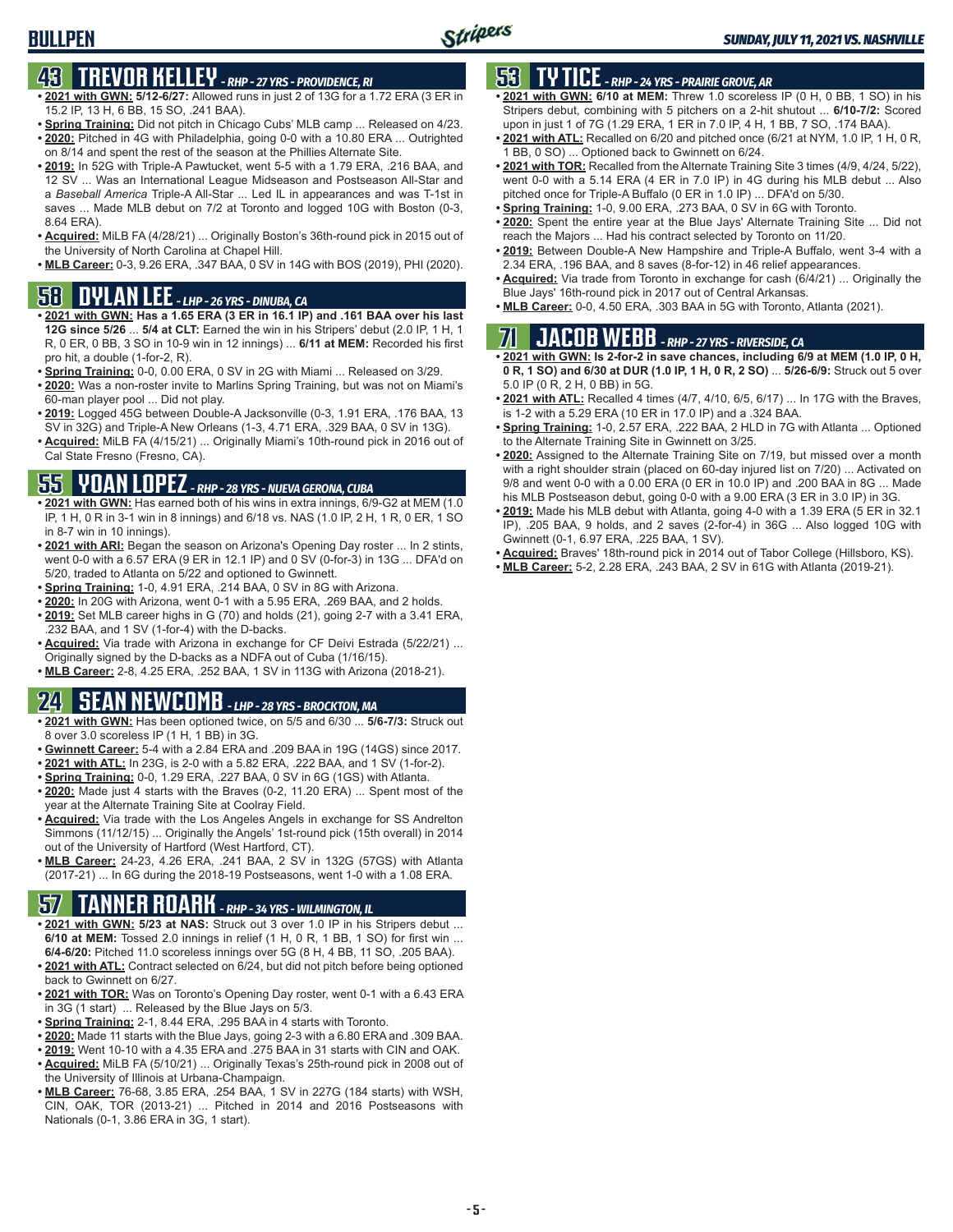# **43 TREVOR KELLEY** *- RHP - 27 YRS - PROVIDENCE, RI*

- **• 2021 with GWN: 5/12-6/27:** Allowed runs in just 2 of 13G for a 1.72 ERA (3 ER in 15.2 IP, 13 H, 6 BB, 15 SO, .241 BAA).
- **• Spring Training:** Did not pitch in Chicago Cubs' MLB camp ... Released on 4/23. **• 2020:** Pitched in 4G with Philadelphia, going 0-0 with a 10.80 ERA ... Outrighted
- on 8/14 and spent the rest of the season at the Phillies Alternate Site. **• 2019:** In 52G with Triple-A Pawtucket, went 5-5 with a 1.79 ERA, .216 BAA, and
- 12 SV ... Was an International League Midseason and Postseason All-Star and a *Baseball America* Triple-A All-Star ... Led IL in appearances and was T-1st in saves ... Made MLB debut on 7/2 at Toronto and logged 10G with Boston (0-3, 8.64 ERA).
- **• Acquired:** MiLB FA (4/28/21) ... Originally Boston's 36th-round pick in 2015 out of the University of North Carolina at Chapel Hill.
- **• MLB Career:** 0-3, 9.26 ERA, .347 BAA, 0 SV in 14G with BOS (2019), PHI (2020).

### **58 DYLAN LEE** *- LHP - 26 YRS - DINUBA, CA*

- **• 2021 with GWN: Has a 1.65 ERA (3 ER in 16.1 IP) and .161 BAA over his last 12G since 5/26** ... **5/4 at CLT:** Earned the win in his Stripers' debut (2.0 IP, 1 H, 1 R, 0 ER, 0 BB, 3 SO in 10-9 win in 12 innings) ... **6/11 at MEM:** Recorded his first pro hit, a double (1-for-2, R).
- **• Spring Training:** 0-0, 0.00 ERA, 0 SV in 2G with Miami ... Released on 3/29.
- **• 2020:** Was a non-roster invite to Marlins Spring Training, but was not on Miami's 60-man player pool ... Did not play.
- **• 2019:** Logged 45G between Double-A Jacksonville (0-3, 1.91 ERA, .176 BAA, 13 SV in 32G) and Triple-A New Orleans (1-3, 4.71 ERA, .329 BAA, 0 SV in 13G).
- **• Acquired:** MiLB FA (4/15/21) ... Originally Miami's 10th-round pick in 2016 out of Cal State Fresno (Fresno, CA).

### **55 YOAN LOPEZ** *- RHP - 28 YRS - NUEVA GERONA, CUBA*

- **• 2021 with GWN:** Has earned both of his wins in extra innings, 6/9-G2 at MEM (1.0 IP, 1 H, 0 R in 3-1 win in 8 innings) and 6/18 vs. NAS (1.0 IP, 2 H, 1 R, 0 ER, 1 SO in 8-7 win in 10 innings).
- **• 2021 with ARI:** Began the season on Arizona's Opening Day roster ... In 2 stints, went 0-0 with a 6.57 ERA (9 ER in 12.1 IP) and 0 SV (0-for-3) in 13G ... DFA'd on 5/20, traded to Atlanta on 5/22 and optioned to Gwinnett.
- **• Spring Training:** 1-0, 4.91 ERA, .214 BAA, 0 SV in 8G with Arizona.
- **• 2020:** In 20G with Arizona, went 0-1 with a 5.95 ERA, .269 BAA, and 2 holds. **• 2019:** Set MLB career highs in G (70) and holds (21), going 2-7 with a 3.41 ERA,
- .232 BAA, and 1 SV (1-for-4) with the D-backs. **• Acquired:** Via trade with Arizona in exchange for CF Deivi Estrada (5/22/21) ... Originally signed by the D-backs as a NDFA out of Cuba (1/16/15).
- **• MLB Career:** 2-8, 4.25 ERA, .252 BAA, 1 SV in 113G with Arizona (2018-21).

# **24 SEAN NEWCOMB** *- LHP - 28 YRS - BROCKTON, MA*

- **• 2021 with GWN:** Has been optioned twice, on 5/5 and 6/30 ... **5/6-7/3:** Struck out 8 over 3.0 scoreless IP (1 H, 1 BB) in 3G.
- **• Gwinnett Career:** 5-4 with a 2.84 ERA and .209 BAA in 19G (14GS) since 2017.
- **• 2021 with ATL:** In 23G, is 2-0 with a 5.82 ERA, .222 BAA, and 1 SV (1-for-2).
- **• Spring Training:** 0-0, 1.29 ERA, .227 BAA, 0 SV in 6G (1GS) with Atlanta.
- **• 2020:** Made just 4 starts with the Braves (0-2, 11.20 ERA) ... Spent most of the year at the Alternate Training Site at Coolray Field.
- **• Acquired:** Via trade with the Los Angeles Angels in exchange for SS Andrelton Simmons (11/12/15) ... Originally the Angels' 1st-round pick (15th overall) in 2014 out of the University of Hartford (West Hartford, CT).
- **• MLB Career:** 24-23, 4.26 ERA, .241 BAA, 2 SV in 132G (57GS) with Atlanta (2017-21) ... In 6G during the 2018-19 Postseasons, went 1-0 with a 1.08 ERA.

# **57 TANNER ROARK** *- RHP - 34 YRS - WILMINGTON, IL*

- **• 2021 with GWN: 5/23 at NAS:** Struck out 3 over 1.0 IP in his Stripers debut ... **6/10 at MEM:** Tossed 2.0 innings in relief (1 H, 0 R, 1 BB, 1 SO) for first win ... **6/4-6/20:** Pitched 11.0 scoreless innings over 5G (8 H, 4 BB, 11 SO, .205 BAA).
- **• 2021 with ATL:** Contract selected on 6/24, but did not pitch before being optioned back to Gwinnett on 6/27.
- **• 2021 with TOR:** Was on Toronto's Opening Day roster, went 0-1 with a 6.43 ERA in 3G (1 start) ... Released by the Blue Jays on 5/3.
- **• Spring Training:** 2-1, 8.44 ERA, .295 BAA in 4 starts with Toronto.
- **• 2020:** Made 11 starts with the Blue Jays, going 2-3 with a 6.80 ERA and .309 BAA.
- **• 2019:** Went 10-10 with a 4.35 ERA and .275 BAA in 31 starts with CIN and OAK. **• Acquired:** MiLB FA (5/10/21) ... Originally Texas's 25th-round pick in 2008 out of the University of Illinois at Urbana-Champaign.
- **• MLB Career:** 76-68, 3.85 ERA, .254 BAA, 1 SV in 227G (184 starts) with WSH, CIN, OAK, TOR (2013-21) ... Pitched in 2014 and 2016 Postseasons with Nationals (0-1, 3.86 ERA in 3G, 1 start).

## **53 TY TICE** *- RHP - 24 YRS - PRAIRIE GROVE, AR*

- **• 2021 with GWN: 6/10 at MEM:** Threw 1.0 scoreless IP (0 H, 0 BB, 1 SO) in his Stripers debut, combining with 5 pitchers on a 2-hit shutout ... **6/10-7/2:** Scored upon in just 1 of 7G (1.29 ERA, 1 ER in 7.0 IP, 4 H, 1 BB, 7 SO, .174 BAA).
- **• 2021 with ATL:** Recalled on 6/20 and pitched once (6/21 at NYM, 1.0 IP, 1 H, 0 R, 1 BB, 0 SO) ... Optioned back to Gwinnett on 6/24.
- **• 2021 with TOR:** Recalled from the Alternate Training Site 3 times (4/9, 4/24, 5/22), went 0-0 with a 5.14 ERA (4 ER in 7.0 IP) in 4G during his MLB debut ... Also pitched once for Triple-A Buffalo (0 ER in 1.0 IP) ... DFA'd on 5/30.
- **• Spring Training:** 1-0, 9.00 ERA, .273 BAA, 0 SV in 6G with Toronto.
- **• 2020:** Spent the entire year at the Blue Jays' Alternate Training Site ... Did not reach the Majors ... Had his contract selected by Toronto on 11/20.
- **• 2019:** Between Double-A New Hampshire and Triple-A Buffalo, went 3-4 with a 2.34 ERA, .196 BAA, and 8 saves (8-for-12) in 46 relief appearances.
- **• Acquired:** Via trade from Toronto in exchange for cash (6/4/21) ... Originally the Blue Jays' 16th-round pick in 2017 out of Central Arkansas.
- **• MLB Career:** 0-0, 4.50 ERA, .303 BAA in 5G with Toronto, Atlanta (2021).

# **71 JACOB WEBB** *- RHP - 27 YRS - RIVERSIDE, CA*

**• 2021 with GWN: Is 2-for-2 in save chances, including 6/9 at MEM (1.0 IP, 0 H, 0 R, 1 SO) and 6/30 at DUR (1.0 IP, 1 H, 0 R, 2 SO)** ... **5/26-6/9:** Struck out 5 over 5.0 IP (0 R, 2 H, 0 BB) in 5G.

- **• 2021 with ATL:** Recalled 4 times (4/7, 4/10, 6/5, 6/17) ... In 17G with the Braves, is 1-2 with a 5.29 ERA (10 ER in 17.0 IP) and a .324 BAA.
- **• Spring Training:** 1-0, 2.57 ERA, .222 BAA, 2 HLD in 7G with Atlanta ... Optioned to the Alternate Training Site in Gwinnett on 3/25.
- **• 2020:** Assigned to the Alternate Training Site on 7/19, but missed over a month with a right shoulder strain (placed on 60-day injured list on 7/20) ... Activated on 9/8 and went 0-0 with a 0.00 ERA (0 ER in 10.0 IP) and .200 BAA in 8G ... Made his MLB Postseason debut, going 0-0 with a 9.00 ERA (3 ER in 3.0 IP) in 3G.
- **• 2019:** Made his MLB debut with Atlanta, going 4-0 with a 1.39 ERA (5 ER in 32.1 IP), .205 BAA, 9 holds, and 2 saves (2-for-4) in 36G ... Also logged 10G with Gwinnett (0-1, 6.97 ERA, .225 BAA, 1 SV).
- **• Acquired:** Braves' 18th-round pick in 2014 out of Tabor College (Hillsboro, KS).
- **• MLB Career:** 5-2, 2.28 ERA, .243 BAA, 2 SV in 61G with Atlanta (2019-21).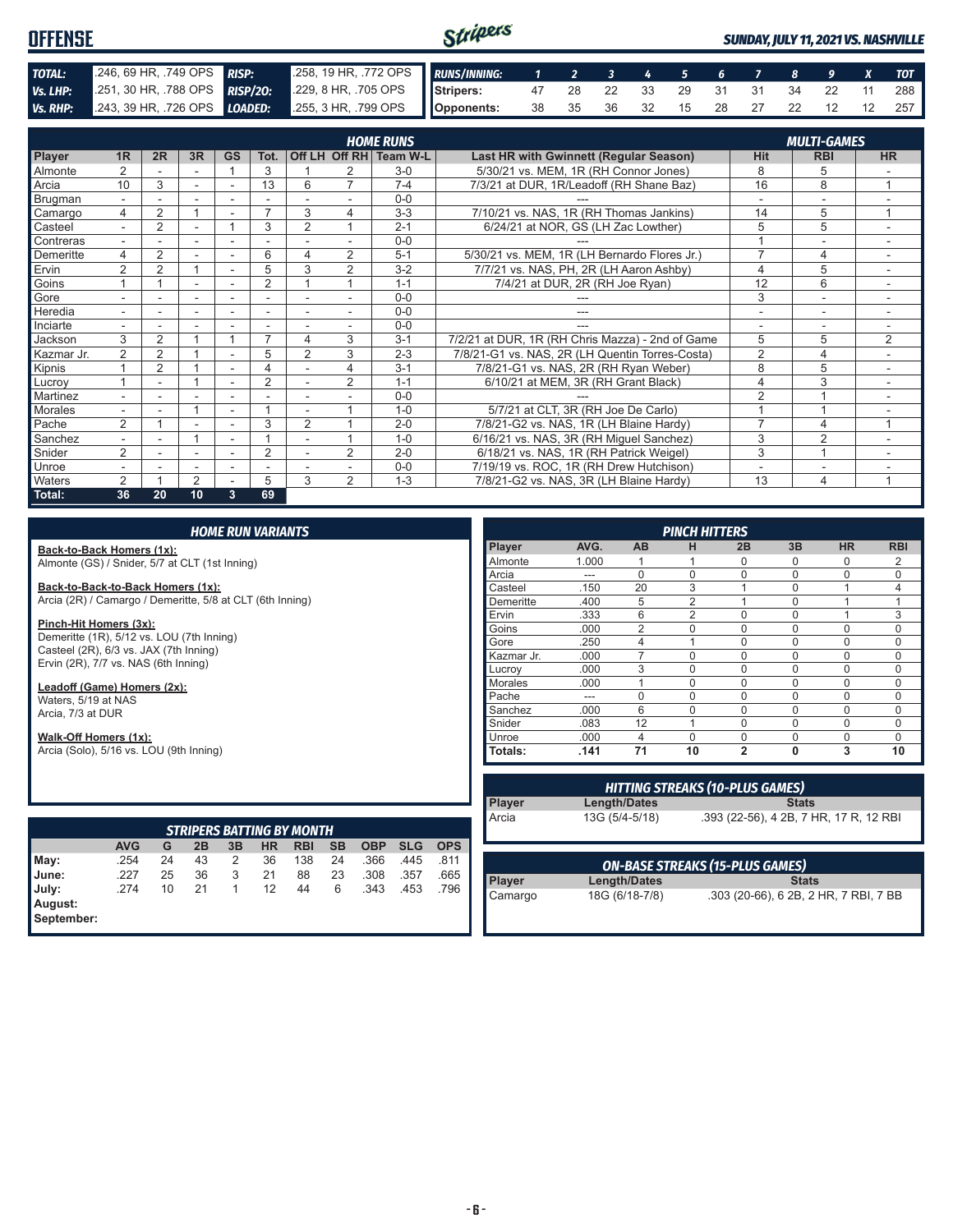#### Stripers **OFFENSE** *SUNDAY, JULY 11, 2021 VS. NASHVILLE TOTAL:* .246, 69 HR, .749 OPS *RISP:* .258, 19 HR, .772 OPS *RUNS/INNING: 1 2 3 4 5 6 7 8 9 X TOT Vs. LHP:* .251, 30 HR, .788 OPS *RISP/2O:* .229, 8 HR, .705 OPS **Stripers:** 47 28 22 33 29 31 31 34 22 11 288 *Vs. RHP:* .243, 39 HR, .726 OPS *LOADED:* .255, 3 HR, .799 OPS **Opponents:** 38 35 36 32 15 28 27 22 12 12 257

| <b>HOME RUNS</b><br>Off LH Off RH Team W-L |                          |                |        |           |                |                |                |         |                                                  |                          | <b>MULTI-GAMES</b>       |                          |
|--------------------------------------------|--------------------------|----------------|--------|-----------|----------------|----------------|----------------|---------|--------------------------------------------------|--------------------------|--------------------------|--------------------------|
| <b>Player</b>                              | 1 <sub>R</sub>           | 2R             | 3R     | <b>GS</b> | Tot.           |                |                |         | Last HR with Gwinnett (Regular Season)           | <b>Hit</b>               | <b>RBI</b>               | <b>HR</b>                |
| Almonte                                    | $\overline{2}$           |                |        |           | 3              |                | 2              | $3-0$   | 5/30/21 vs. MEM, 1R (RH Connor Jones)            | 8                        | 5                        |                          |
| Arcia                                      | 10                       | 3              | $\sim$ | ٠         | 13             | 6              | $\overline{7}$ | $7 - 4$ | 7/3/21 at DUR, 1R/Leadoff (RH Shane Baz)         | 16                       | 8                        | 1                        |
| Brugman                                    | $\overline{\phantom{a}}$ |                |        |           |                |                |                | $0 - 0$ |                                                  |                          | ۰                        |                          |
| Camargo                                    | 4                        | $\overline{2}$ |        | ۰         |                | 3              | 4              | $3 - 3$ | 7/10/21 vs. NAS, 1R (RH Thomas Jankins)          | 14                       | 5                        |                          |
| Casteel                                    |                          | $\overline{2}$ |        |           | 3              | $\overline{2}$ |                | $2 - 1$ | 6/24/21 at NOR, GS (LH Zac Lowther)              | 5                        | 5                        |                          |
| Contreras                                  |                          |                | ٠      |           |                |                |                | $0 - 0$ |                                                  |                          | $\overline{\phantom{a}}$ |                          |
| Demeritte                                  | 4                        | $\overline{2}$ |        |           | 6              | 4              | $\overline{2}$ | $5 - 1$ | 5/30/21 vs. MEM, 1R (LH Bernardo Flores Jr.)     | 7                        | 4                        |                          |
| Ervin                                      | $\overline{2}$           | $\overline{2}$ |        | ٠         | 5              | 3              | $\overline{2}$ | $3-2$   | 7/7/21 vs. NAS, PH, 2R (LH Aaron Ashby)          | 4                        | 5                        | $\overline{\phantom{a}}$ |
| Goins                                      |                          |                |        |           | $\overline{2}$ |                |                | $1 - 1$ | 7/4/21 at DUR, 2R (RH Joe Ryan)                  | 12                       | 6                        |                          |
| Gore                                       |                          |                | ٠      |           |                |                |                | $0 - 0$ |                                                  | 3                        | $\overline{\phantom{a}}$ |                          |
| Heredia                                    |                          |                | ٠      |           |                |                |                | $0 - 0$ | ---                                              | ٠                        | ٠                        |                          |
| Inciarte                                   | $\overline{\phantom{a}}$ |                |        |           |                |                |                | $0 - 0$ | $---$                                            | $\overline{\phantom{a}}$ | $\overline{\phantom{a}}$ | ٠.                       |
| Jackson                                    | 3                        | $\overline{2}$ |        |           |                | 4              | 3              | $3 - 1$ | 7/2/21 at DUR, 1R (RH Chris Mazza) - 2nd of Game | 5                        | 5                        | $\overline{2}$           |
| Kazmar Jr.                                 | 2                        | $\overline{2}$ |        |           | 5              | $\overline{2}$ | 3              | $2 - 3$ | 7/8/21-G1 vs. NAS, 2R (LH Quentin Torres-Costa)  | $\overline{2}$           | $\overline{4}$           |                          |
| Kipnis                                     |                          | 2              |        | ٠         | 4              |                | 4              | $3 - 1$ | 7/8/21-G1 vs. NAS, 2R (RH Ryan Weber)            | 8                        | 5                        |                          |
| Lucrov                                     |                          |                |        |           | $\overline{2}$ |                | $\overline{2}$ | $1 - 1$ | 6/10/21 at MEM, 3R (RH Grant Black)              | 4                        | 3                        | $\sim$                   |
| Martinez                                   | $\overline{\phantom{a}}$ |                | ۰      | ۰         |                |                |                | $0 - 0$ |                                                  | $\overline{2}$           |                          |                          |
| Morales                                    |                          |                |        |           |                |                |                | $1 - 0$ | 5/7/21 at CLT, 3R (RH Joe De Carlo)              |                          |                          |                          |
| Pache                                      | $\overline{2}$           |                | ٠      |           | 3              | 2              |                | $2 - 0$ | 7/8/21-G2 vs. NAS, 1R (LH Blaine Hardy)          | $\overline{7}$           | 4                        | $\overline{A}$           |
| Sanchez                                    |                          |                |        |           |                |                |                | $1 - 0$ | 6/16/21 vs. NAS, 3R (RH Miguel Sanchez)          | 3                        | $\overline{2}$           |                          |
| Snider                                     | $\overline{2}$           |                | ٠      | ٠         | $\overline{2}$ |                | 2              | $2 - 0$ | 6/18/21 vs. NAS, 1R (RH Patrick Weigel)          | 3                        |                          |                          |
| Unroe                                      |                          |                |        |           |                |                |                | $0 - 0$ | 7/19/19 vs. ROC, 1R (RH Drew Hutchison)          |                          |                          |                          |
| Waters                                     | $\mathcal{P}$            |                | 2      |           | 5              | 3              | $\mathfrak{D}$ | $1 - 3$ | 7/8/21-G2 vs. NAS, 3R (LH Blaine Hardy)          | 13                       | 4                        |                          |
| Total:                                     | 36                       | 20             | 10     | 3         | 69             |                |                |         |                                                  |                          |                          |                          |

**Back-to-Back Homers (1x):** Almonte (GS) / Snider, 5/7 at CLT (1st Inning)

**Back-to-Back-to-Back Homers (1x):**

Arcia (2R) / Camargo / Demeritte, 5/8 at CLT (6th Inning)

**Pinch-Hit Homers (3x):** Demeritte (1R), 5/12 vs. LOU (7th Inning) Casteel (2R), 6/3 vs. JAX (7th Inning) Ervin (2R), 7/7 vs. NAS (6th Inning)

**Leadoff (Game) Homers (2x):** Waters, 5/19 at NAS

Arcia, 7/3 at DUR

**Walk-Off Homers (1x):**

Arcia (Solo), 5/16 vs. LOU (9th Inning)

| <b>STRIPERS BATTING BY MONTH</b> |            |    |    |    |    |            |           |            |            |            |
|----------------------------------|------------|----|----|----|----|------------|-----------|------------|------------|------------|
|                                  | <b>AVG</b> | G  | 2B | 3B | HR | <b>RBI</b> | <b>SB</b> | <b>OBP</b> | <b>SLG</b> | <b>OPS</b> |
| May:                             | .254       | 24 | 43 | 2  | 36 | 138        | 24        | .366       | .445       | .811       |
| June:                            | .227       | 25 | 36 | 3  | 21 | 88         | 23        | .308       | .357       | .665       |
| July:                            | .274       | 10 | 21 |    | 12 | 44         | 6         | .343       | .453       | .796       |
| August:<br>September:            |            |    |    |    |    |            |           |            |            |            |

|                |       |                | <b>PINCH HITTERS</b> |                |          |             |                |
|----------------|-------|----------------|----------------------|----------------|----------|-------------|----------------|
| <b>Player</b>  | AVG.  | AB             | н                    | 2B             | 3B       | <b>HR</b>   | <b>RBI</b>     |
| Almonte        | 1.000 |                |                      | 0              | 0        | 0           | 2              |
| Arcia          | ---   | $\Omega$       | $\Omega$             | $\Omega$       | 0        | $\Omega$    | $\Omega$       |
| Casteel        | .150  | 20             | 3                    | 1              | 0        |             | $\overline{4}$ |
| Demeritte      | .400  | 5              | $\overline{2}$       | 1              | $\Omega$ |             | 1              |
| Ervin          | .333  | 6              | $\overline{2}$       | $\Omega$       | 0        |             | 3              |
| Goins          | .000  | $\overline{2}$ | $\Omega$             | $\Omega$       | O        | $\Omega$    | $\Omega$       |
| Gore           | .250  | 4              | 1                    | $\mathbf 0$    | 0        | $\Omega$    | 0              |
| Kazmar Jr.     | .000  | 7              | $\Omega$             | $\mathbf 0$    | 0        | 0           | $\Omega$       |
| Lucrov         | .000  | 3              | $\mathbf 0$          | $\mathbf 0$    | 0        | $\mathbf 0$ | $\mathbf 0$    |
| <b>Morales</b> | .000  |                | $\Omega$             | 0              | $\Omega$ | $\mathbf 0$ | $\Omega$       |
| Pache          | ---   | $\Omega$       | $\Omega$             | $\Omega$       | $\Omega$ | $\Omega$    | $\Omega$       |
| Sanchez        | .000  | 6              | $\Omega$             | $\Omega$       | 0        | $\Omega$    | $\Omega$       |
| Snider         | .083  | 12             | 1                    | $\Omega$       | 0        | $\Omega$    | 0              |
| Unroe          | .000  | 4              | $\Omega$             | $\Omega$       | 0        | $\Omega$    | $\Omega$       |
| Totals:        | .141  | 71             | 10                   | $\overline{2}$ | 0        | 3           | 10             |

| <b>HITTING STREAKS (10-PLUS GAMES)</b> |                |                                        |  |
|----------------------------------------|----------------|----------------------------------------|--|
| Player<br>Arcia                        | Length/Dates   | <b>Stats</b>                           |  |
|                                        | 13G (5/4-5/18) | .393 (22-56), 4 2B, 7 HR, 17 R, 12 RBI |  |

| <b>ON-BASE STREAKS (15-PLUS GAMES)</b> |                |                                       |  |  |
|----------------------------------------|----------------|---------------------------------------|--|--|
| <b>Player</b>                          | Length/Dates   | <b>Stats</b>                          |  |  |
| Camargo                                | 18G (6/18-7/8) | .303 (20-66), 6 2B, 2 HR, 7 RBI, 7 BB |  |  |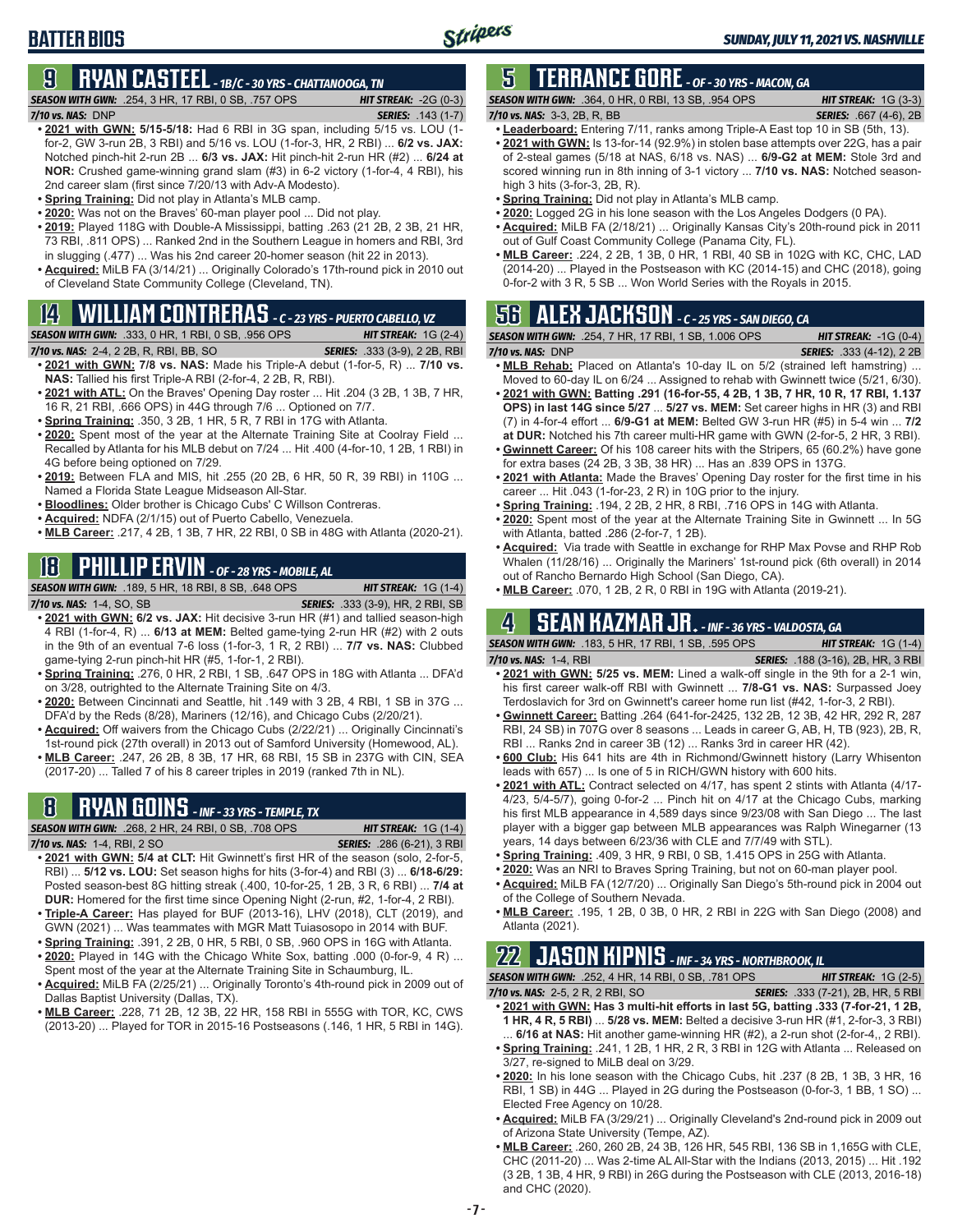# **BATTER BIOS**

# **9 RYAN CASTEEL** *- 1B/C - 30 YRS - CHATTANOOGA, TN*

*SEASON WITH GWN:*.254, 3 HR, 17 RBI, 0 SB, .757 OPS *HIT STREAK:* -2G (0-3)

*7/10 vs. NAS:*DNP *SERIES:* .143 (1-7)

- **• 2021 with GWN: 5/15-5/18:** Had 6 RBI in 3G span, including 5/15 vs. LOU (1 for-2, GW 3-run 2B, 3 RBI) and 5/16 vs. LOU (1-for-3, HR, 2 RBI) ... **6/2 vs. JAX:** Notched pinch-hit 2-run 2B ... **6/3 vs. JAX:** Hit pinch-hit 2-run HR (#2) ... **6/24 at NOR:** Crushed game-winning grand slam (#3) in 6-2 victory (1-for-4, 4 RBI), his 2nd career slam (first since 7/20/13 with Adv-A Modesto).
- **• Spring Training:** Did not play in Atlanta's MLB camp.
- **• 2020:** Was not on the Braves' 60-man player pool ... Did not play.
- **• 2019:** Played 118G with Double-A Mississippi, batting .263 (21 2B, 2 3B, 21 HR, 73 RBI, .811 OPS) ... Ranked 2nd in the Southern League in homers and RBI, 3rd in slugging (.477) ... Was his 2nd career 20-homer season (hit 22 in 2013).
- **• Acquired:** MiLB FA (3/14/21) ... Originally Colorado's 17th-round pick in 2010 out of Cleveland State Community College (Cleveland, TN).

# **14 WILLIAM CONTRERAS** *- C - 23 YRS - PUERTO CABELLO, VZ*

*SEASON WITH GWN:*.333, 0 HR, 1 RBI, 0 SB, .956 OPS *HIT STREAK:* 1G (2-4)

- *7/10 vs. NAS:*2-4, 2 2B, R, RBI, BB, SO *SERIES:* .333 (3-9), 2 2B, RBI **• 2021 with GWN: 7/8 vs. NAS:** Made his Triple-A debut (1-for-5, R) ... **7/10 vs. NAS:** Tallied his first Triple-A RBI (2-for-4, 2 2B, R, RBI).
- **• 2021 with ATL:** On the Braves' Opening Day roster ... Hit .204 (3 2B, 1 3B, 7 HR, 16 R, 21 RBI, .666 OPS) in 44G through 7/6 ... Optioned on 7/7.
- **• Spring Training:** .350, 3 2B, 1 HR, 5 R, 7 RBI in 17G with Atlanta.
- **• 2020:** Spent most of the year at the Alternate Training Site at Coolray Field ... Recalled by Atlanta for his MLB debut on 7/24 ... Hit .400 (4-for-10, 1 2B, 1 RBI) in 4G before being optioned on 7/29.
- **• 2019:** Between FLA and MIS, hit .255 (20 2B, 6 HR, 50 R, 39 RBI) in 110G ... Named a Florida State League Midseason All-Star.
- **• Bloodlines:** Older brother is Chicago Cubs' C Willson Contreras.
- **• Acquired:** NDFA (2/1/15) out of Puerto Cabello, Venezuela.
- **• MLB Career:** .217, 4 2B, 1 3B, 7 HR, 22 RBI, 0 SB in 48G with Atlanta (2020-21).

# **18 PHILLIP ERVIN** *- OF - 28 YRS - MOBILE, AL*

*SEASON WITH GWN:*.189, 5 HR, 18 RBI, 8 SB, .648 OPS *HIT STREAK:* 1G (1-4)

- *7/10 vs. NAS:*1-4, SO, SB *SERIES:* .333 (3-9), HR, 2 RBI, SB **• 2021 with GWN: 6/2 vs. JAX:** Hit decisive 3-run HR (#1) and tallied season-high 4 RBI (1-for-4, R) ... **6/13 at MEM:** Belted game-tying 2-run HR (#2) with 2 outs in the 9th of an eventual 7-6 loss (1-for-3, 1 R, 2 RBI) ... **7/7 vs. NAS:** Clubbed game-tying 2-run pinch-hit HR (#5, 1-for-1, 2 RBI).
- **• Spring Training:** .276, 0 HR, 2 RBI, 1 SB, .647 OPS in 18G with Atlanta ... DFA'd on 3/28, outrighted to the Alternate Training Site on 4/3.
- **• 2020:** Between Cincinnati and Seattle, hit .149 with 3 2B, 4 RBI, 1 SB in 37G ... DFA'd by the Reds (8/28), Mariners (12/16), and Chicago Cubs (2/20/21).
- **• Acquired:** Off waivers from the Chicago Cubs (2/22/21) ... Originally Cincinnati's 1st-round pick (27th overall) in 2013 out of Samford University (Homewood, AL).
- **• MLB Career:** .247, 26 2B, 8 3B, 17 HR, 68 RBI, 15 SB in 237G with CIN, SEA (2017-20) ... Talled 7 of his 8 career triples in 2019 (ranked 7th in NL).

# **8 RYAN GOINS** *- INF - 33 YRS - TEMPLE, TX*

*SEASON WITH GWN:*.268, 2 HR, 24 RBI, 0 SB, .708 OPS *HIT STREAK:* 1G (1-4)

- *7/10 vs. NAS:*1-4, RBI, 2 SO *SERIES:* .286 (6-21), 3 RBI **• 2021 with GWN: 5/4 at CLT:** Hit Gwinnett's first HR of the season (solo, 2-for-5, RBI) ... **5/12 vs. LOU:** Set season highs for hits (3-for-4) and RBI (3) ... **6/18-6/29:** Posted season-best 8G hitting streak (.400, 10-for-25, 1 2B, 3 R, 6 RBI) ... **7/4 at DUR:** Homered for the first time since Opening Night (2-run, #2, 1-for-4, 2 RBI).
- **• Triple-A Career:** Has played for BUF (2013-16), LHV (2018), CLT (2019), and GWN (2021) ... Was teammates with MGR Matt Tuiasosopo in 2014 with BUF.
- **• Spring Training:** .391, 2 2B, 0 HR, 5 RBI, 0 SB, .960 OPS in 16G with Atlanta. **• 2020:** Played in 14G with the Chicago White Sox, batting .000 (0-for-9, 4 R) ...
- Spent most of the year at the Alternate Training Site in Schaumburg, IL. **• Acquired:** MiLB FA (2/25/21) ... Originally Toronto's 4th-round pick in 2009 out of
- Dallas Baptist University (Dallas, TX).
- **• MLB Career:** .228, 71 2B, 12 3B, 22 HR, 158 RBI in 555G with TOR, KC, CWS (2013-20) ... Played for TOR in 2015-16 Postseasons (.146, 1 HR, 5 RBI in 14G).

# **5 TERRANCE GORE** *- OF - 30 YRS - MACON, GA*

*SEASON WITH GWN:*.364, 0 HR, 0 RBI, 13 SB, .954 OPS *HIT STREAK:* 1G (3-3) *7/10 vs. NAS:*3-3, 2B, R, BB *SERIES:* .667 (4-6), 2B

- **• Leaderboard:** Entering 7/11, ranks among Triple-A East top 10 in SB (5th, 13). **• 2021 with GWN:** Is 13-for-14 (92.9%) in stolen base attempts over 22G, has a pair of 2-steal games (5/18 at NAS, 6/18 vs. NAS) ... **6/9-G2 at MEM:** Stole 3rd and scored winning run in 8th inning of 3-1 victory ... **7/10 vs. NAS:** Notched seasonhigh 3 hits (3-for-3, 2B, R).
- **• Spring Training:** Did not play in Atlanta's MLB camp.
- **• 2020:** Logged 2G in his lone season with the Los Angeles Dodgers (0 PA).
- **• Acquired:** MiLB FA (2/18/21) ... Originally Kansas City's 20th-round pick in 2011 out of Gulf Coast Community College (Panama City, FL).
- **• MLB Career:** .224, 2 2B, 1 3B, 0 HR, 1 RBI, 40 SB in 102G with KC, CHC, LAD (2014-20) ... Played in the Postseason with KC (2014-15) and CHC (2018), going 0-for-2 with 3 R, 5 SB ... Won World Series with the Royals in 2015.

## **56 ALEX JACKSON** *- C - 25 YRS - SAN DIEGO, CA*

| <b>SEASON WITH GWN:</b> .254, 7 HR, 17 RBI, 1 SB, 1.006 OPS | <b>HIT STREAK:</b> $-1G(0-4)$    |
|-------------------------------------------------------------|----------------------------------|
| $7/10$ vs. NAS: DNP                                         | <b>SERIES:</b> .333 (4-12), 2 2B |
|                                                             |                                  |

- **• MLB Rehab:** Placed on Atlanta's 10-day IL on 5/2 (strained left hamstring) ... Moved to 60-day IL on 6/24 ... Assigned to rehab with Gwinnett twice (5/21, 6/30).
- **• 2021 with GWN: Batting .291 (16-for-55, 4 2B, 1 3B, 7 HR, 10 R, 17 RBI, 1.137 OPS) in last 14G since 5/27** ... **5/27 vs. MEM:** Set career highs in HR (3) and RBI (7) in 4-for-4 effort ... **6/9-G1 at MEM:** Belted GW 3-run HR (#5) in 5-4 win ... **7/2 at DUR:** Notched his 7th career multi-HR game with GWN (2-for-5, 2 HR, 3 RBI).
- **• Gwinnett Career:** Of his 108 career hits with the Stripers, 65 (60.2%) have gone for extra bases (24 2B, 3 3B, 38 HR) ... Has an .839 OPS in 137G.
- **• 2021 with Atlanta:** Made the Braves' Opening Day roster for the first time in his career ... Hit .043 (1-for-23, 2 R) in 10G prior to the injury.
- **• Spring Training:** .194, 2 2B, 2 HR, 8 RBI, .716 OPS in 14G with Atlanta.
- **• 2020:** Spent most of the year at the Alternate Training Site in Gwinnett ... In 5G with Atlanta, batted .286 (2-for-7, 1 2B).
- **• Acquired:** Via trade with Seattle in exchange for RHP Max Povse and RHP Rob Whalen (11/28/16) ... Originally the Mariners' 1st-round pick (6th overall) in 2014 out of Rancho Bernardo High School (San Diego, CA).
- **• MLB Career:** .070, 1 2B, 2 R, 0 RBI in 19G with Atlanta (2019-21).

# **4 SEAN KAZMAR JR.** *- INF - 36 YRS - VALDOSTA, GA*

*SEASON WITH GWN:*.183, 5 HR, 17 RBI, 1 SB, .595 OPS *HIT STREAK:* 1G (1-4)

- *7/10 vs. NAS:*1-4, RBI *SERIES:* .188 (3-16), 2B, HR, 3 RBI **• 2021 with GWN: 5/25 vs. MEM:** Lined a walk-off single in the 9th for a 2-1 win, his first career walk-off RBI with Gwinnett ... **7/8-G1 vs. NAS:** Surpassed Joey
- Terdoslavich for 3rd on Gwinnett's career home run list (#42, 1-for-3, 2 RBI). **• Gwinnett Career:** Batting .264 (641-for-2425, 132 2B, 12 3B, 42 HR, 292 R, 287 RBI, 24 SB) in 707G over 8 seasons ... Leads in career G, AB, H, TB (923), 2B, R, RBI ... Ranks 2nd in career 3B (12) ... Ranks 3rd in career HR (42).
- **• 600 Club:** His 641 hits are 4th in Richmond/Gwinnett history (Larry Whisenton leads with 657) ... Is one of 5 in RICH/GWN history with 600 hits.
- **• 2021 with ATL:** Contract selected on 4/17, has spent 2 stints with Atlanta (4/17- 4/23, 5/4-5/7), going 0-for-2 ... Pinch hit on 4/17 at the Chicago Cubs, marking his first MLB appearance in 4,589 days since 9/23/08 with San Diego ... The last player with a bigger gap between MLB appearances was Ralph Winegarner (13 years, 14 days between 6/23/36 with CLE and 7/7/49 with STL).
- **• Spring Training:** .409, 3 HR, 9 RBI, 0 SB, 1.415 OPS in 25G with Atlanta.
- **• 2020:** Was an NRI to Braves Spring Training, but not on 60-man player pool. **• Acquired:** MiLB FA (12/7/20) ... Originally San Diego's 5th-round pick in 2004 out of the College of Southern Nevada.
- **• MLB Career:** .195, 1 2B, 0 3B, 0 HR, 2 RBI in 22G with San Diego (2008) and Atlanta (2021).

# **22 JASON KIPNIS** *- INF - 34 YRS - NORTHBROOK, IL*

*SEASON WITH GWN:*.252, 4 HR, 14 RBI, 0 SB, .781 OPS *HIT STREAK:* 1G (2-5) *7/10 vs. NAS:*2-5, 2 R, 2 RBI, SO *SERIES:* .333 (7-21), 2B, HR, 5 RBI

- **• 2021 with GWN: Has 3 multi-hit efforts in last 5G, batting .333 (7-for-21, 1 2B, 1 HR, 4 R, 5 RBI)** ... **5/28 vs. MEM:** Belted a decisive 3-run HR (#1, 2-for-3, 3 RBI) ... **6/16 at NAS:** Hit another game-winning HR (#2), a 2-run shot (2-for-4,, 2 RBI).
- **• Spring Training:** .241, 1 2B, 1 HR, 2 R, 3 RBI in 12G with Atlanta ... Released on 3/27, re-signed to MiLB deal on 3/29.
- **• 2020:** In his lone season with the Chicago Cubs, hit .237 (8 2B, 1 3B, 3 HR, 16 RBI, 1 SB) in 44G ... Played in 2G during the Postseason (0-for-3, 1 BB, 1 SO) ... Elected Free Agency on 10/28.
- **• Acquired:** MiLB FA (3/29/21) ... Originally Cleveland's 2nd-round pick in 2009 out of Arizona State University (Tempe, AZ).
- **• MLB Career:** .260, 260 2B, 24 3B, 126 HR, 545 RBI, 136 SB in 1,165G with CLE, CHC (2011-20) ... Was 2-time AL All-Star with the Indians (2013, 2015) ... Hit .192 (3 2B, 1 3B, 4 HR, 9 RBI) in 26G during the Postseason with CLE (2013, 2016-18) and CHC (2020).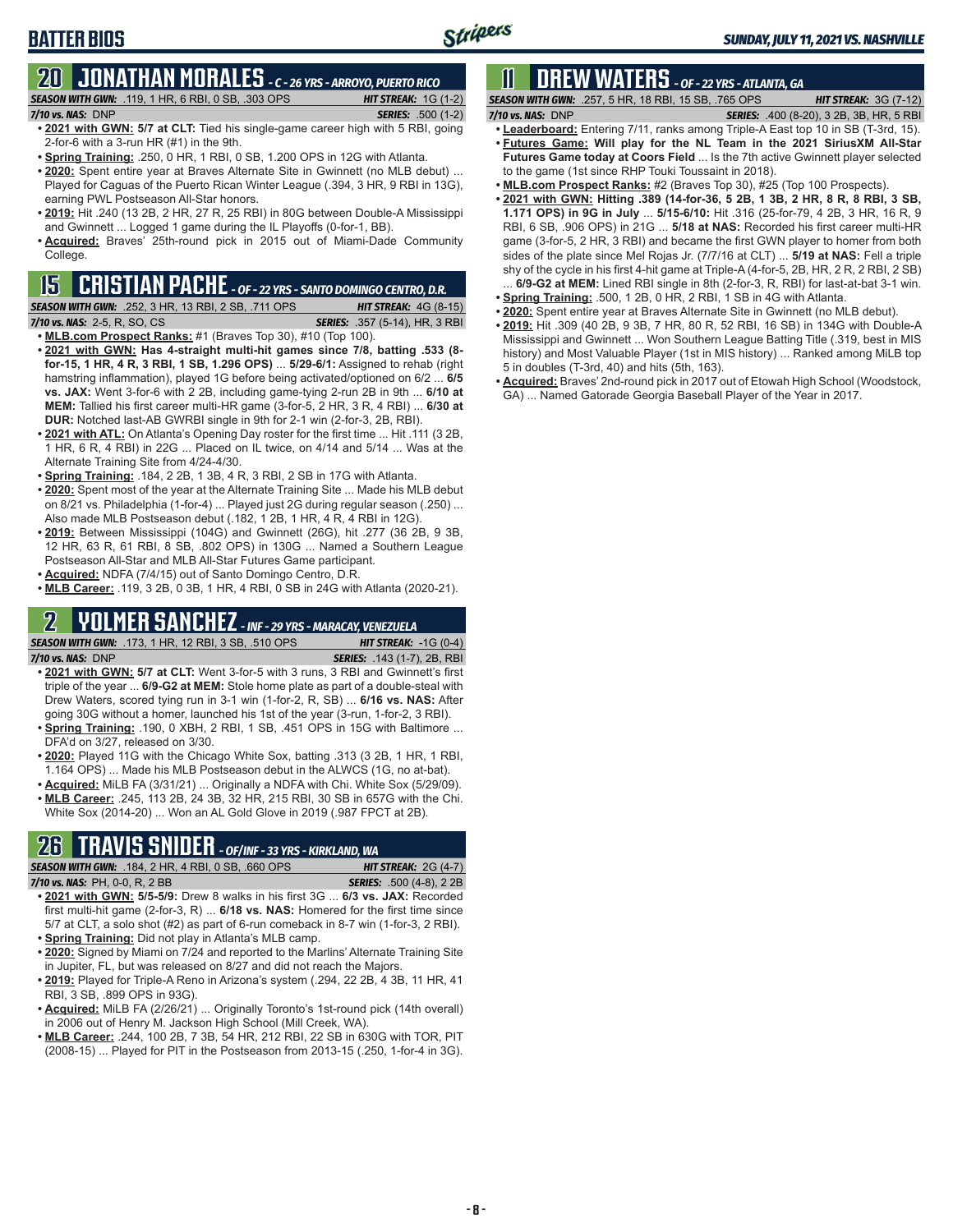# **BATTER BIOS**

#### **20 JONATHAN MORALES** *- C - 26 YRS - ARROYO, PUERTO RICO SEASON WITH GWN:*.119, 1 HR, 6 RBI, 0 SB, .303 OPS *HIT STREAK:* 1G (1-2)

- *7/10 vs. NAS:*DNP *SERIES:* .500 (1-2) **• 2021 with GWN: 5/7 at CLT:** Tied his single-game career high with 5 RBI, going 2-for-6 with a 3-run HR (#1) in the 9th.
- **• Spring Training:** .250, 0 HR, 1 RBI, 0 SB, 1.200 OPS in 12G with Atlanta.
- **• 2020:** Spent entire year at Braves Alternate Site in Gwinnett (no MLB debut) ... Played for Caguas of the Puerto Rican Winter League (.394, 3 HR, 9 RBI in 13G), earning PWL Postseason All-Star honors.
- **• 2019:** Hit .240 (13 2B, 2 HR, 27 R, 25 RBI) in 80G between Double-A Mississippi and Gwinnett ... Logged 1 game during the IL Playoffs (0-for-1, BB).
- **• Acquired:** Braves' 25th-round pick in 2015 out of Miami-Dade Community College.

### **15 CRISTIAN PACHE** *- OF - 22 YRS - SANTO DOMINGO CENTRO, D.R.*

*SEASON WITH GWN:*.252, 3 HR, 13 RBI, 2 SB, .711 OPS *HIT STREAK:* 4G (8-15) *7/10 vs. NAS:* 2-5, R, SO, CS *SERIES:* .357 (5-14), HR, 3 RBI

- **• MLB.com Prospect Ranks:** #1 (Braves Top 30), #10 (Top 100).
- **• 2021 with GWN: Has 4-straight multi-hit games since 7/8, batting .533 (8 for-15, 1 HR, 4 R, 3 RBI, 1 SB, 1.296 OPS)** ... **5/29-6/1:** Assigned to rehab (right hamstring inflammation), played 1G before being activated/optioned on 6/2 ... **6/5 vs. JAX:** Went 3-for-6 with 2 2B, including game-tying 2-run 2B in 9th ... **6/10 at MEM:** Tallied his first career multi-HR game (3-for-5, 2 HR, 3 R, 4 RBI) ... **6/30 at DUR:** Notched last-AB GWRBI single in 9th for 2-1 win (2-for-3, 2B, RBI).
- **• 2021 with ATL:** On Atlanta's Opening Day roster for the first time ... Hit .111 (3 2B, 1 HR, 6 R, 4 RBI) in 22G ... Placed on IL twice, on 4/14 and 5/14 ... Was at the Alternate Training Site from 4/24-4/30.
- **• Spring Training:** .184, 2 2B, 1 3B, 4 R, 3 RBI, 2 SB in 17G with Atlanta.
- **• 2020:** Spent most of the year at the Alternate Training Site ... Made his MLB debut on 8/21 vs. Philadelphia (1-for-4) ... Played just 2G during regular season (.250) ... Also made MLB Postseason debut (.182, 1 2B, 1 HR, 4 R, 4 RBI in 12G).
- **• 2019:** Between Mississippi (104G) and Gwinnett (26G), hit .277 (36 2B, 9 3B, 12 HR, 63 R, 61 RBI, 8 SB, .802 OPS) in 130G ... Named a Southern League Postseason All-Star and MLB All-Star Futures Game participant.
- **• Acquired:** NDFA (7/4/15) out of Santo Domingo Centro, D.R.
- **• MLB Career:** .119, 3 2B, 0 3B, 1 HR, 4 RBI, 0 SB in 24G with Atlanta (2020-21).

# **2 YOLMER SANCHEZ** *- INF - 29 YRS - MARACAY, VENEZUELA*

*SEASON WITH GWN:*.173, 1 HR, 12 RBI, 3 SB, .510 OPS *HIT STREAK:* -1G (0-4) *7/10 vs. NAS:*DNP *SERIES:* .143 (1-7), 2B, RBI

- **• 2021 with GWN: 5/7 at CLT:** Went 3-for-5 with 3 runs, 3 RBI and Gwinnett's first triple of the year ... **6/9-G2 at MEM:** Stole home plate as part of a double-steal with Drew Waters, scored tying run in 3-1 win (1-for-2, R, SB) ... **6/16 vs. NAS:** After going 30G without a homer, launched his 1st of the year (3-run, 1-for-2, 3 RBI).
- **• Spring Training:** .190, 0 XBH, 2 RBI, 1 SB, .451 OPS in 15G with Baltimore ... DFA'd on 3/27, released on 3/30.
- **• 2020:** Played 11G with the Chicago White Sox, batting .313 (3 2B, 1 HR, 1 RBI, 1.164 OPS) ... Made his MLB Postseason debut in the ALWCS (1G, no at-bat).
- **• Acquired:** MiLB FA (3/31/21) ... Originally a NDFA with Chi. White Sox (5/29/09). **• MLB Career:** .245, 113 2B, 24 3B, 32 HR, 215 RBI, 30 SB in 657G with the Chi. White Sox (2014-20) ... Won an AL Gold Glove in 2019 (.987 FPCT at 2B).

# **26 TRAVIS SNIDER** *- OF/INF - 33 YRS - KIRKLAND, WA*

*SEASON WITH GWN:*.184, 2 HR, 4 RBI, 0 SB, .660 OPS *HIT STREAK:* 2G (4-7) *7/10 vs. NAS:* PH, 0-0, R, 2 BB *SERIES:* .500 (4-8), 2 2B

- **• 2021 with GWN: 5/5-5/9:** Drew 8 walks in his first 3G ... **6/3 vs. JAX:** Recorded first multi-hit game (2-for-3, R) ... **6/18 vs. NAS:** Homered for the first time since 5/7 at CLT, a solo shot (#2) as part of 6-run comeback in 8-7 win (1-for-3, 2 RBI). **• Spring Training:** Did not play in Atlanta's MLB camp.
- **• 2020:** Signed by Miami on 7/24 and reported to the Marlins' Alternate Training Site in Jupiter, FL, but was released on 8/27 and did not reach the Majors.
- **• 2019:** Played for Triple-A Reno in Arizona's system (.294, 22 2B, 4 3B, 11 HR, 41 RBI, 3 SB, .899 OPS in 93G).
- **• Acquired:** MiLB FA (2/26/21) ... Originally Toronto's 1st-round pick (14th overall) in 2006 out of Henry M. Jackson High School (Mill Creek, WA).
- **• MLB Career:** .244, 100 2B, 7 3B, 54 HR, 212 RBI, 22 SB in 630G with TOR, PIT (2008-15) ... Played for PIT in the Postseason from 2013-15 (.250, 1-for-4 in 3G).

# **11 Drew WATERS** *- OF - 22 YRS - ATLANTA, GA*

*SEASON WITH GWN:*.257, 5 HR, 18 RBI, 15 SB, .765 OPS *HIT STREAK:* 3G (7-12) *7/10 vs. NAS:*DNP *SERIES:* .400 (8-20), 3 2B, 3B, HR, 5 RBI

- 
- **• Leaderboard:** Entering 7/11, ranks among Triple-A East top 10 in SB (T-3rd, 15). **• Futures Game: Will play for the NL Team in the 2021 SiriusXM All-Star Futures Game today at Coors Field** ... Is the 7th active Gwinnett player selected to the game (1st since RHP Touki Toussaint in 2018).
- **• MLB.com Prospect Ranks:** #2 (Braves Top 30), #25 (Top 100 Prospects).
- **• 2021 with GWN: Hitting .389 (14-for-36, 5 2B, 1 3B, 2 HR, 8 R, 8 RBI, 3 SB, 1.171 OPS) in 9G in July** ... **5/15-6/10:** Hit .316 (25-for-79, 4 2B, 3 HR, 16 R, 9 RBI, 6 SB, .906 OPS) in 21G ... **5/18 at NAS:** Recorded his first career multi-HR game (3-for-5, 2 HR, 3 RBI) and became the first GWN player to homer from both sides of the plate since Mel Rojas Jr. (7/7/16 at CLT) ... **5/19 at NAS:** Fell a triple shy of the cycle in his first 4-hit game at Triple-A (4-for-5, 2B, HR, 2 R, 2 RBI, 2 SB)
- ... **6/9-G2 at MEM:** Lined RBI single in 8th (2-for-3, R, RBI) for last-at-bat 3-1 win. **• Spring Training:** .500, 1 2B, 0 HR, 2 RBI, 1 SB in 4G with Atlanta.
- **• 2020:** Spent entire year at Braves Alternate Site in Gwinnett (no MLB debut).
- **• 2019:** Hit .309 (40 2B, 9 3B, 7 HR, 80 R, 52 RBI, 16 SB) in 134G with Double-A Mississippi and Gwinnett ... Won Southern League Batting Title (.319, best in MIS history) and Most Valuable Player (1st in MIS history) ... Ranked among MiLB top 5 in doubles (T-3rd, 40) and hits (5th, 163).
- **• Acquired:** Braves' 2nd-round pick in 2017 out of Etowah High School (Woodstock, GA) ... Named Gatorade Georgia Baseball Player of the Year in 2017.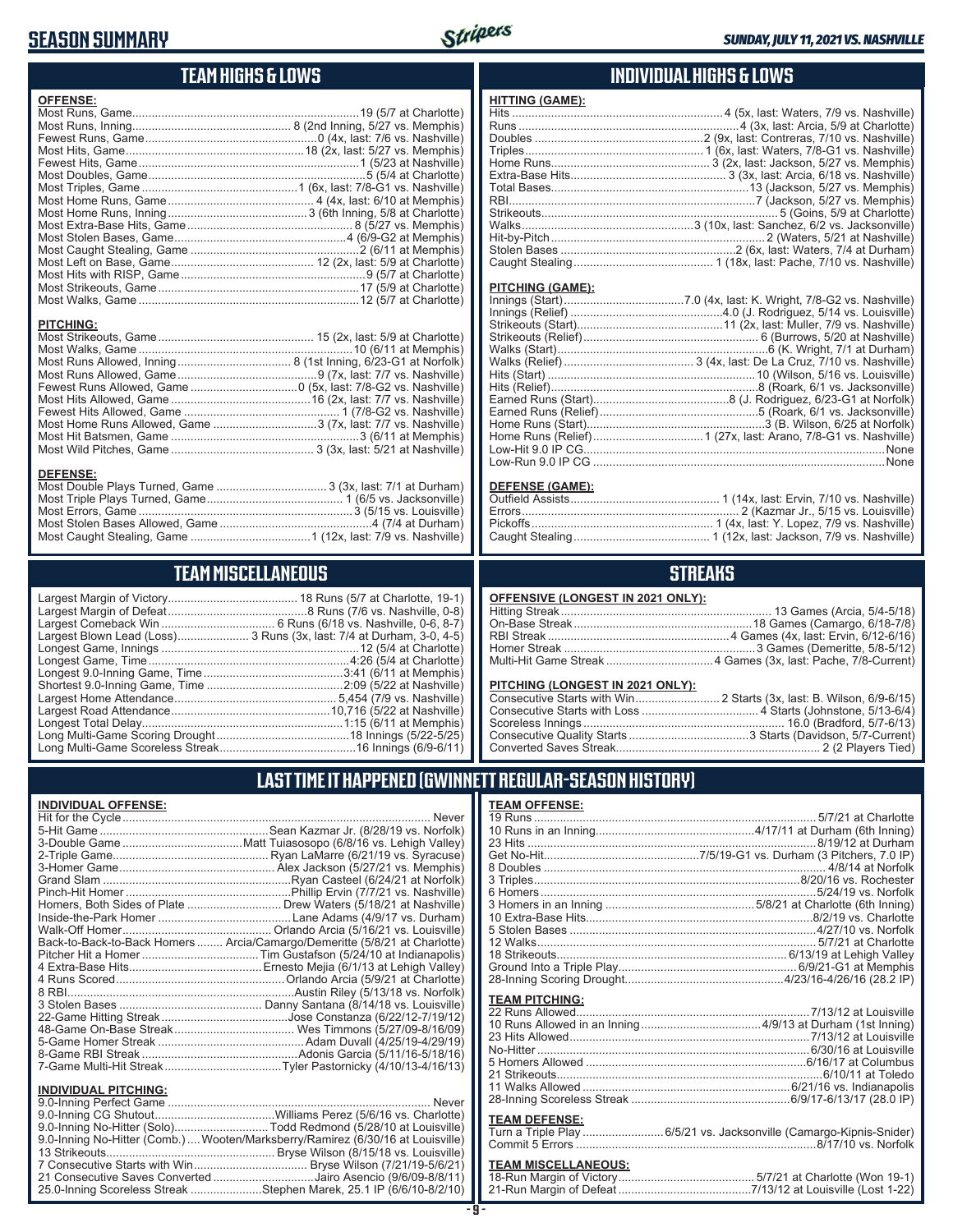### **SEASON SUMMARY**



#### **TEAM HIGHS & LOWS**

| <b>OFFENSE:</b>  |  |
|------------------|--|
|                  |  |
|                  |  |
|                  |  |
|                  |  |
|                  |  |
|                  |  |
|                  |  |
|                  |  |
|                  |  |
|                  |  |
|                  |  |
|                  |  |
|                  |  |
| <b>PITCHING:</b> |  |
|                  |  |
|                  |  |
|                  |  |
|                  |  |
|                  |  |
|                  |  |

#### **INDIVIDUAL HIGHS & LOWS**

| <u>HIIING (GAME):</u>   |  |
|-------------------------|--|
|                         |  |
|                         |  |
|                         |  |
|                         |  |
|                         |  |
|                         |  |
|                         |  |
|                         |  |
|                         |  |
|                         |  |
|                         |  |
|                         |  |
|                         |  |
|                         |  |
| <b>PITCHING (GAME):</b> |  |
|                         |  |
|                         |  |
|                         |  |

 $\theta$   $\theta$   $\theta$   $\theta$   $\theta$   $\theta$   $\theta$ 

#### **DEFENSE (GAME):**

### **STREAKS**

|  |  | OFFENSIVE (LONGEST IN 2021 ONLY): |
|--|--|-----------------------------------|
|--|--|-----------------------------------|

#### **PITCHING (LONGEST IN 2021 ONLY):**

| <u>THE STRIP (ESTIMATE) HT EVER SITE I A</u> |  |
|----------------------------------------------|--|
|                                              |  |
|                                              |  |
|                                              |  |
|                                              |  |
|                                              |  |
|                                              |  |

#### **LAST TIME IT HAPPENED (GWINNETT REGULAR-SEASON HISTORY)**

| <b>TEAM OFFENSE:</b>                                                                                                                                                                                                          |  |
|-------------------------------------------------------------------------------------------------------------------------------------------------------------------------------------------------------------------------------|--|
|                                                                                                                                                                                                                               |  |
|                                                                                                                                                                                                                               |  |
|                                                                                                                                                                                                                               |  |
|                                                                                                                                                                                                                               |  |
|                                                                                                                                                                                                                               |  |
|                                                                                                                                                                                                                               |  |
|                                                                                                                                                                                                                               |  |
|                                                                                                                                                                                                                               |  |
|                                                                                                                                                                                                                               |  |
|                                                                                                                                                                                                                               |  |
|                                                                                                                                                                                                                               |  |
|                                                                                                                                                                                                                               |  |
|                                                                                                                                                                                                                               |  |
|                                                                                                                                                                                                                               |  |
|                                                                                                                                                                                                                               |  |
| <b>TEAM PITCHING:</b>                                                                                                                                                                                                         |  |
|                                                                                                                                                                                                                               |  |
|                                                                                                                                                                                                                               |  |
|                                                                                                                                                                                                                               |  |
|                                                                                                                                                                                                                               |  |
|                                                                                                                                                                                                                               |  |
| $0.4$ $0.4$ $1.2$ $0.4$ $0.4$ $0.4$ $0.4$ $0.4$ $0.4$ $0.4$ $0.4$ $0.4$ $0.4$ $0.4$ $0.4$ $0.4$ $0.4$ $0.4$ $0.4$ $0.4$ $0.4$ $0.4$ $0.4$ $0.4$ $0.4$ $0.4$ $0.4$ $0.4$ $0.4$ $0.4$ $0.4$ $0.4$ $0.4$ $0.4$ $0.4$ $0.4$ $0.4$ |  |

#### **TEAM DEFENSE:**

|  | Turn a Triple Play 6/5/21 vs. Jacksonville (Camargo-Kipnis-Snider) |
|--|--------------------------------------------------------------------|
|  |                                                                    |

# **TEAM MISCELLANEOUS:**<br>18-Run Margin of Victory....

| Most Double Plays Turned, Game  3 (3x, last: 7/1 at Durham) |  |
|-------------------------------------------------------------|--|
|                                                             |  |
|                                                             |  |
|                                                             |  |
|                                                             |  |
|                                                             |  |

Fewest Hits Allowed, Game ................................................ 1 (7/8-G2 vs. Nashville) Most Home Runs Allowed, Game ................................3 (7x, last: 7/7 vs. Nashville) Most Hit Batsmen, Game ..........................................................3 (6/11 at Memphis) Most Wild Pitches, Game ............................................ 3 (3x, last: 5/21 at Nashville)

### **TEAM MISCELLANEOUS**

| Largest Blown Lead (Loss) 3 Runs (3x, last: 7/4 at Durham, 3-0, 4-5) |
|----------------------------------------------------------------------|
|                                                                      |
|                                                                      |
|                                                                      |
|                                                                      |
|                                                                      |
|                                                                      |
|                                                                      |
|                                                                      |
|                                                                      |

#### **INDIVIDUAL OFFENSE:**

**DEFENSE:**

|                       | Back-to-Back-to-Back Homers  Arcia/Camargo/Demeritte (5/8/21 at Charlotte) |
|-----------------------|----------------------------------------------------------------------------|
|                       |                                                                            |
|                       |                                                                            |
|                       |                                                                            |
|                       |                                                                            |
|                       |                                                                            |
|                       |                                                                            |
|                       |                                                                            |
|                       |                                                                            |
|                       |                                                                            |
|                       |                                                                            |
|                       |                                                                            |
| INDIVIDITAL PITCHING· |                                                                            |

|   |  |  | INDIVIDUAL PITCHING: |  |
|---|--|--|----------------------|--|
| . |  |  |                      |  |

| 9.0-Inning No-Hitter (Comb.)  Wooten/Marksberry/Ramirez (6/30/16 at Louisville) |
|---------------------------------------------------------------------------------|
|                                                                                 |
|                                                                                 |
| 21 Consecutive Saves Converted Jairo Asencio (9/6/09-8/8/11)                    |
| 25.0-Inning Scoreless Streak Stephen Marek, 25.1 IP (6/6/10-8/2/10)             |
|                                                                                 |